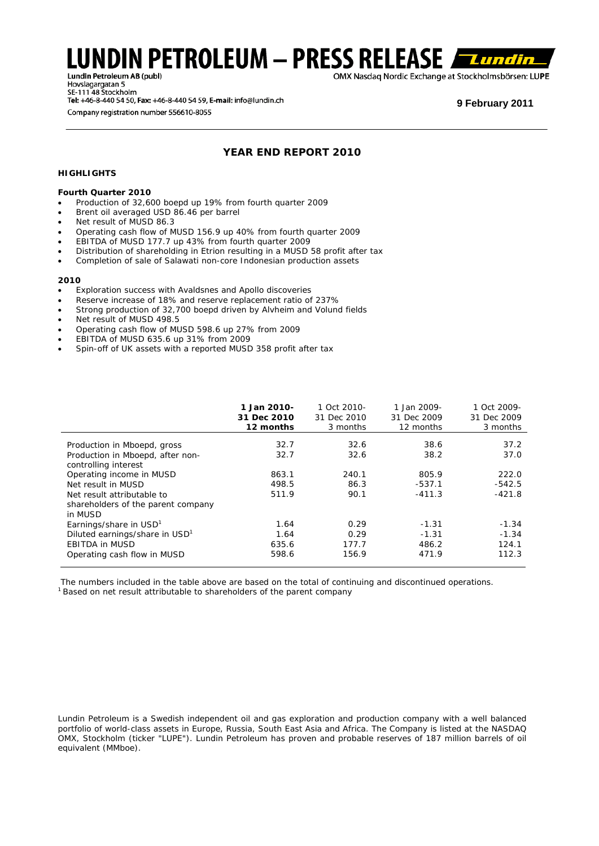# **LUNDIN PETROLEUM - PRESS RELEASE** OMX Nasdag Nordic Exchange at Stockholmsbörsen: LUPE

Lundin Petroleum AB (publ) Hovslagargatan 5 SE-111 48 Stockholm Tel: +46-8-440 54 50, Fax: +46-8-440 54 59, E-mail: info@lundin.ch Company registration number 556610-8055

**9 February 2011**

## **YEAR END REPORT 2010**

## **HIGHLIGHTS**

## **Fourth Quarter 2010**

- Production of 32,600 boepd up 19% from fourth quarter 2009
- Brent oil averaged USD 86.46 per barrel
- Net result of MUSD 86.3
- Operating cash flow of MUSD 156.9 up 40% from fourth quarter 2009
- EBITDA of MUSD 177.7 up 43% from fourth quarter 2009
- Distribution of shareholding in Etrion resulting in a MUSD 58 profit after tax
- Completion of sale of Salawati non-core Indonesian production assets

## **2010**

- Exploration success with Avaldsnes and Apollo discoveries
- Reserve increase of 18% and reserve replacement ratio of 237%
- Strong production of 32,700 boepd driven by Alvheim and Volund fields
- Net result of MUSD 498.5
- Operating cash flow of MUSD 598.6 up 27% from 2009
- EBITDA of MUSD 635.6 up 31% from 2009
- Spin-off of UK assets with a reported MUSD 358 profit after tax

|                                                                                         | 1 Jan 2010-  | 1 Oct 2010-  | 1 Jan 2009-  | 1 Oct 2009-  |
|-----------------------------------------------------------------------------------------|--------------|--------------|--------------|--------------|
|                                                                                         | 31 Dec 2010  | 31 Dec 2010  | 31 Dec 2009  | 31 Dec 2009  |
|                                                                                         | 12 months    | 3 months     | 12 months    | 3 months     |
| Production in Mboepd, gross<br>Production in Mboepd, after non-<br>controlling interest | 32.7<br>32.7 | 32.6<br>32.6 | 38.6<br>38.2 | 37.2<br>37.0 |
| Operating income in MUSD                                                                | 863.1        | 240.1        | 805.9        | 222.0        |
| Net result in MUSD                                                                      | 498.5        | 86.3         | $-537.1$     | $-542.5$     |
| Net result attributable to                                                              | 511.9        | 90.1         | $-411.3$     | $-421.8$     |
| shareholders of the parent company<br>in MUSD<br>Earnings/share in USD <sup>1</sup>     | 1.64         | 0.29         | $-1.31$      | $-1.34$      |
| Diluted earnings/share in USD <sup>1</sup>                                              | 1.64         | 0.29         | $-1.31$      | $-1.34$      |
| <b>EBITDA in MUSD</b>                                                                   | 635.6        | 177.7        | 486.2        | 124.1        |
| Operating cash flow in MUSD                                                             | 598.6        | 156.9        | 471.9        | 112.3        |

The numbers included in the table above are based on the total of continuing and discontinued operations.  $1B$  Based on net result attributable to shareholders of the parent company

*Lundin Petroleum is a Swedish independent oil and gas exploration and production company with a well balanced portfolio of world-class assets in Europe, Russia, South East Asia and Africa. The Company is listed at the NASDAQ OMX, Stockholm (ticker "LUPE"). Lundin Petroleum has proven and probable reserves of 187 million barrels of oil equivalent (MMboe).*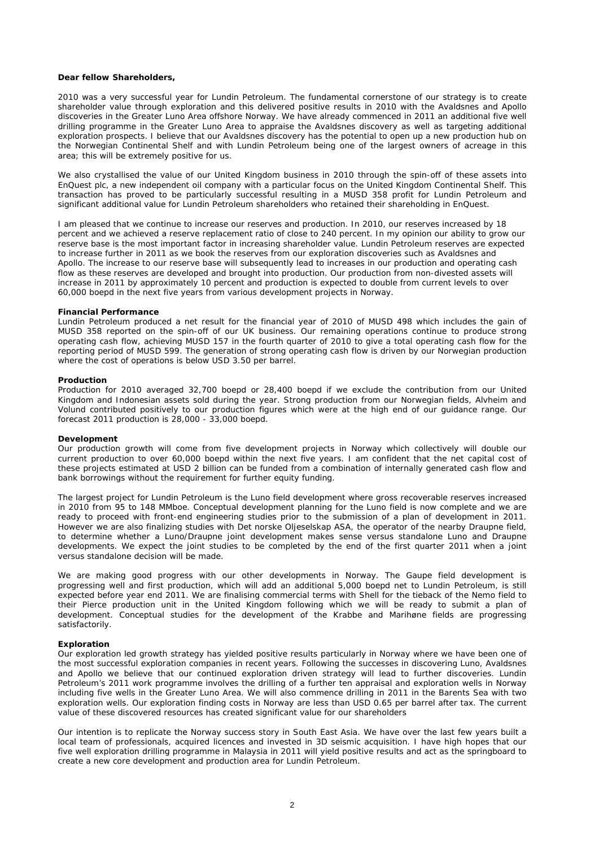### **Dear fellow Shareholders,**

2010 was a very successful year for Lundin Petroleum. The fundamental cornerstone of our strategy is to create shareholder value through exploration and this delivered positive results in 2010 with the Avaldsnes and Apollo discoveries in the Greater Luno Area offshore Norway. We have already commenced in 2011 an additional five well drilling programme in the Greater Luno Area to appraise the Avaldsnes discovery as well as targeting additional exploration prospects. I believe that our Avaldsnes discovery has the potential to open up a new production hub on the Norwegian Continental Shelf and with Lundin Petroleum being one of the largest owners of acreage in this area; this will be extremely positive for us.

We also crystallised the value of our United Kingdom business in 2010 through the spin-off of these assets into EnQuest plc, a new independent oil company with a particular focus on the United Kingdom Continental Shelf. This transaction has proved to be particularly successful resulting in a MUSD 358 profit for Lundin Petroleum and significant additional value for Lundin Petroleum shareholders who retained their shareholding in EnQuest.

I am pleased that we continue to increase our reserves and production. In 2010, our reserves increased by 18 percent and we achieved a reserve replacement ratio of close to 240 percent. In my opinion our ability to grow our reserve base is the most important factor in increasing shareholder value. Lundin Petroleum reserves are expected to increase further in 2011 as we book the reserves from our exploration discoveries such as Avaldsnes and Apollo. The increase to our reserve base will subsequently lead to increases in our production and operating cash flow as these reserves are developed and brought into production. Our production from non-divested assets will increase in 2011 by approximately 10 percent and production is expected to double from current levels to over 60,000 boepd in the next five years from various development projects in Norway.

### **Financial Performance**

Lundin Petroleum produced a net result for the financial year of 2010 of MUSD 498 which includes the gain of MUSD 358 reported on the spin-off of our UK business. Our remaining operations continue to produce strong operating cash flow, achieving MUSD 157 in the fourth quarter of 2010 to give a total operating cash flow for the reporting period of MUSD 599. The generation of strong operating cash flow is driven by our Norwegian production where the cost of operations is below USD 3.50 per barrel.

#### **Production**

Production for 2010 averaged 32,700 boepd or 28,400 boepd if we exclude the contribution from our United Kingdom and Indonesian assets sold during the year. Strong production from our Norwegian fields, Alvheim and Volund contributed positively to our production figures which were at the high end of our guidance range. Our forecast 2011 production is 28,000 - 33,000 boepd.

#### **Development**

Our production growth will come from five development projects in Norway which collectively will double our current production to over 60,000 boepd within the next five years. I am confident that the net capital cost of these projects estimated at USD 2 billion can be funded from a combination of internally generated cash flow and bank borrowings without the requirement for further equity funding.

The largest project for Lundin Petroleum is the Luno field development where gross recoverable reserves increased in 2010 from 95 to 148 MMboe. Conceptual development planning for the Luno field is now complete and we are ready to proceed with front-end engineering studies prior to the submission of a plan of development in 2011. However we are also finalizing studies with Det norske Oljeselskap ASA, the operator of the nearby Draupne field, to determine whether a Luno/Draupne joint development makes sense versus standalone Luno and Draupne developments. We expect the joint studies to be completed by the end of the first quarter 2011 when a joint versus standalone decision will be made.

We are making good progress with our other developments in Norway. The Gaupe field development is progressing well and first production, which will add an additional 5,000 boepd net to Lundin Petroleum, is still expected before year end 2011. We are finalising commercial terms with Shell for the tieback of the Nemo field to their Pierce production unit in the United Kingdom following which we will be ready to submit a plan of development. Conceptual studies for the development of the Krabbe and Marihøne fields are progressing satisfactorily.

#### **Exploration**

Our exploration led growth strategy has yielded positive results particularly in Norway where we have been one of the most successful exploration companies in recent years. Following the successes in discovering Luno, Avaldsnes and Apollo we believe that our continued exploration driven strategy will lead to further discoveries. Lundin Petroleum's 2011 work programme involves the drilling of a further ten appraisal and exploration wells in Norway including five wells in the Greater Luno Area. We will also commence drilling in 2011 in the Barents Sea with two exploration wells. Our exploration finding costs in Norway are less than USD 0.65 per barrel after tax. The current value of these discovered resources has created significant value for our shareholders

Our intention is to replicate the Norway success story in South East Asia. We have over the last few years built a local team of professionals, acquired licences and invested in 3D seismic acquisition. I have high hopes that our five well exploration drilling programme in Malaysia in 2011 will yield positive results and act as the springboard to create a new core development and production area for Lundin Petroleum.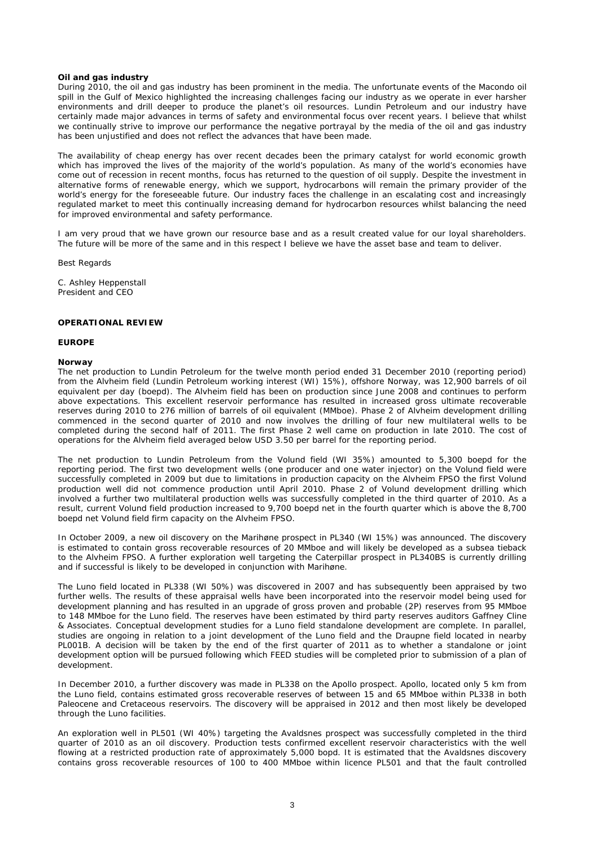### **Oil and gas industry**

During 2010, the oil and gas industry has been prominent in the media. The unfortunate events of the Macondo oil spill in the Gulf of Mexico highlighted the increasing challenges facing our industry as we operate in ever harsher environments and drill deeper to produce the planet's oil resources. Lundin Petroleum and our industry have certainly made major advances in terms of safety and environmental focus over recent years. I believe that whilst we continually strive to improve our performance the negative portrayal by the media of the oil and gas industry has been unjustified and does not reflect the advances that have been made.

The availability of cheap energy has over recent decades been the primary catalyst for world economic growth which has improved the lives of the majority of the world's population. As many of the world's economies have come out of recession in recent months, focus has returned to the question of oil supply. Despite the investment in alternative forms of renewable energy, which we support, hydrocarbons will remain the primary provider of the world's energy for the foreseeable future. Our industry faces the challenge in an escalating cost and increasingly regulated market to meet this continually increasing demand for hydrocarbon resources whilst balancing the need for improved environmental and safety performance.

I am very proud that we have grown our resource base and as a result created value for our loyal shareholders. The future will be more of the same and in this respect I believe we have the asset base and team to deliver.

Best Regards

C. Ashley Heppenstall President and CEO

## **OPERATIONAL REVIEW**

## **EUROPE**

#### **Norway**

The net production to Lundin Petroleum for the twelve month period ended 31 December 2010 (reporting period) from the Alvheim field (Lundin Petroleum working interest (WI) 15%), offshore Norway, was 12,900 barrels of oil equivalent per day (boepd). The Alvheim field has been on production since June 2008 and continues to perform above expectations. This excellent reservoir performance has resulted in increased gross ultimate recoverable reserves during 2010 to 276 million of barrels of oil equivalent (MMboe). Phase 2 of Alvheim development drilling commenced in the second quarter of 2010 and now involves the drilling of four new multilateral wells to be completed during the second half of 2011. The first Phase 2 well came on production in late 2010. The cost of operations for the Alvheim field averaged below USD 3.50 per barrel for the reporting period.

The net production to Lundin Petroleum from the Volund field (WI 35%) amounted to 5,300 boepd for the reporting period. The first two development wells (one producer and one water injector) on the Volund field were successfully completed in 2009 but due to limitations in production capacity on the Alvheim FPSO the first Volund production well did not commence production until April 2010. Phase 2 of Volund development drilling which involved a further two multilateral production wells was successfully completed in the third quarter of 2010. As a result, current Volund field production increased to 9,700 boepd net in the fourth quarter which is above the 8,700 boepd net Volund field firm capacity on the Alvheim FPSO.

In October 2009, a new oil discovery on the Marihøne prospect in PL340 (WI 15%) was announced. The discovery is estimated to contain gross recoverable resources of 20 MMboe and will likely be developed as a subsea tieback to the Alvheim FPSO. A further exploration well targeting the Caterpillar prospect in PL340BS is currently drilling and if successful is likely to be developed in conjunction with Marihøne.

The Luno field located in PL338 (WI 50%) was discovered in 2007 and has subsequently been appraised by two further wells. The results of these appraisal wells have been incorporated into the reservoir model being used for development planning and has resulted in an upgrade of gross proven and probable (2P) reserves from 95 MMboe to 148 MMboe for the Luno field. The reserves have been estimated by third party reserves auditors Gaffney Cline & Associates. Conceptual development studies for a Luno field standalone development are complete. In parallel, studies are ongoing in relation to a joint development of the Luno field and the Draupne field located in nearby PL001B. A decision will be taken by the end of the first quarter of 2011 as to whether a standalone or joint development option will be pursued following which FEED studies will be completed prior to submission of a plan of development.

In December 2010, a further discovery was made in PL338 on the Apollo prospect. Apollo, located only 5 km from the Luno field, contains estimated gross recoverable reserves of between 15 and 65 MMboe within PL338 in both Paleocene and Cretaceous reservoirs. The discovery will be appraised in 2012 and then most likely be developed through the Luno facilities.

An exploration well in PL501 (WI 40%) targeting the Avaldsnes prospect was successfully completed in the third quarter of 2010 as an oil discovery. Production tests confirmed excellent reservoir characteristics with the well flowing at a restricted production rate of approximately 5,000 bopd. It is estimated that the Avaldsnes discovery contains gross recoverable resources of 100 to 400 MMboe within licence PL501 and that the fault controlled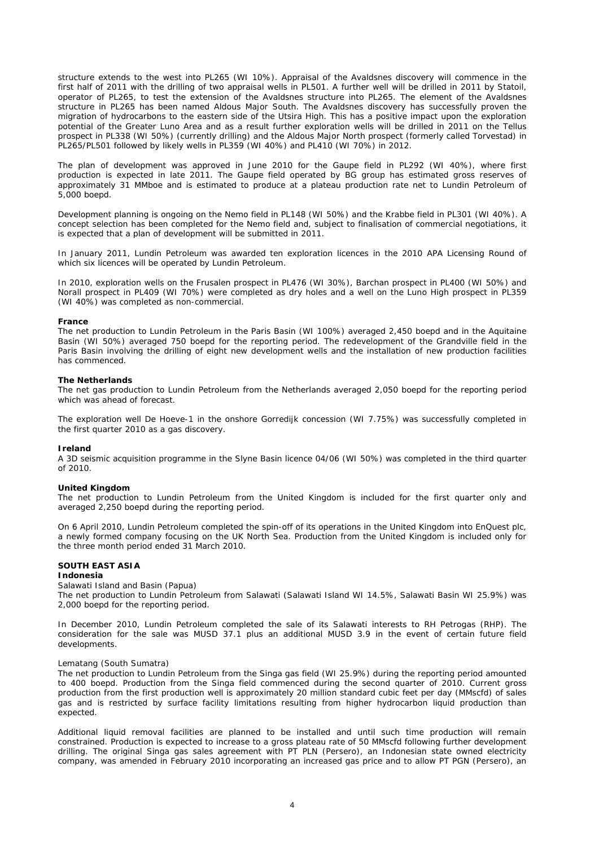structure extends to the west into PL265 (WI 10%). Appraisal of the Avaldsnes discovery will commence in the first half of 2011 with the drilling of two appraisal wells in PL501. A further well will be drilled in 2011 by Statoil, operator of PL265, to test the extension of the Avaldsnes structure into PL265. The element of the Avaldsnes structure in PL265 has been named Aldous Major South. The Avaldsnes discovery has successfully proven the migration of hydrocarbons to the eastern side of the Utsira High. This has a positive impact upon the exploration potential of the Greater Luno Area and as a result further exploration wells will be drilled in 2011 on the Tellus prospect in PL338 (WI 50%) (currently drilling) and the Aldous Major North prospect (formerly called Torvestad) in PL265/PL501 followed by likely wells in PL359 (WI 40%) and PL410 (WI 70%) in 2012.

The plan of development was approved in June 2010 for the Gaupe field in PL292 (WI 40%), where first production is expected in late 2011. The Gaupe field operated by BG group has estimated gross reserves of approximately 31 MMboe and is estimated to produce at a plateau production rate net to Lundin Petroleum of 5,000 boepd.

Development planning is ongoing on the Nemo field in PL148 (WI 50%) and the Krabbe field in PL301 (WI 40%). A concept selection has been completed for the Nemo field and, subject to finalisation of commercial negotiations, it is expected that a plan of development will be submitted in 2011.

In January 2011, Lundin Petroleum was awarded ten exploration licences in the 2010 APA Licensing Round of which six licences will be operated by Lundin Petroleum.

In 2010, exploration wells on the Frusalen prospect in PL476 (WI 30%), Barchan prospect in PL400 (WI 50%) and Norall prospect in PL409 (WI 70%) were completed as dry holes and a well on the Luno High prospect in PL359 (WI 40%) was completed as non-commercial.

## **France**

The net production to Lundin Petroleum in the Paris Basin (WI 100%) averaged 2,450 boepd and in the Aquitaine Basin (WI 50%) averaged 750 boepd for the reporting period. The redevelopment of the Grandville field in the Paris Basin involving the drilling of eight new development wells and the installation of new production facilities has commenced.

## **The Netherlands**

The net gas production to Lundin Petroleum from the Netherlands averaged 2,050 boepd for the reporting period which was ahead of forecast.

The exploration well De Hoeve-1 in the onshore Gorredijk concession (WI 7.75%) was successfully completed in the first quarter 2010 as a gas discovery.

## **Ireland**

A 3D seismic acquisition programme in the Slyne Basin licence 04/06 (WI 50%) was completed in the third quarter of 2010.

## **United Kingdom**

The net production to Lundin Petroleum from the United Kingdom is included for the first quarter only and averaged 2,250 boepd during the reporting period.

On 6 April 2010, Lundin Petroleum completed the spin-off of its operations in the United Kingdom into EnQuest plc, a newly formed company focusing on the UK North Sea. Production from the United Kingdom is included only for the three month period ended 31 March 2010.

### **SOUTH EAST ASIA Indonesia**

## *Salawati Island and Basin (Papua)*

The net production to Lundin Petroleum from Salawati (Salawati Island WI 14.5%, Salawati Basin WI 25.9%) was 2,000 boepd for the reporting period.

In December 2010, Lundin Petroleum completed the sale of its Salawati interests to RH Petrogas (RHP). The consideration for the sale was MUSD 37.1 plus an additional MUSD 3.9 in the event of certain future field developments.

## *Lematang (South Sumatra)*

The net production to Lundin Petroleum from the Singa gas field (WI 25.9%) during the reporting period amounted to 400 boepd. Production from the Singa field commenced during the second quarter of 2010. Current gross production from the first production well is approximately 20 million standard cubic feet per day (MMscfd) of sales gas and is restricted by surface facility limitations resulting from higher hydrocarbon liquid production than expected.

Additional liquid removal facilities are planned to be installed and until such time production will remain constrained. Production is expected to increase to a gross plateau rate of 50 MMscfd following further development drilling. The original Singa gas sales agreement with PT PLN (Persero), an Indonesian state owned electricity company, was amended in February 2010 incorporating an increased gas price and to allow PT PGN (Persero), an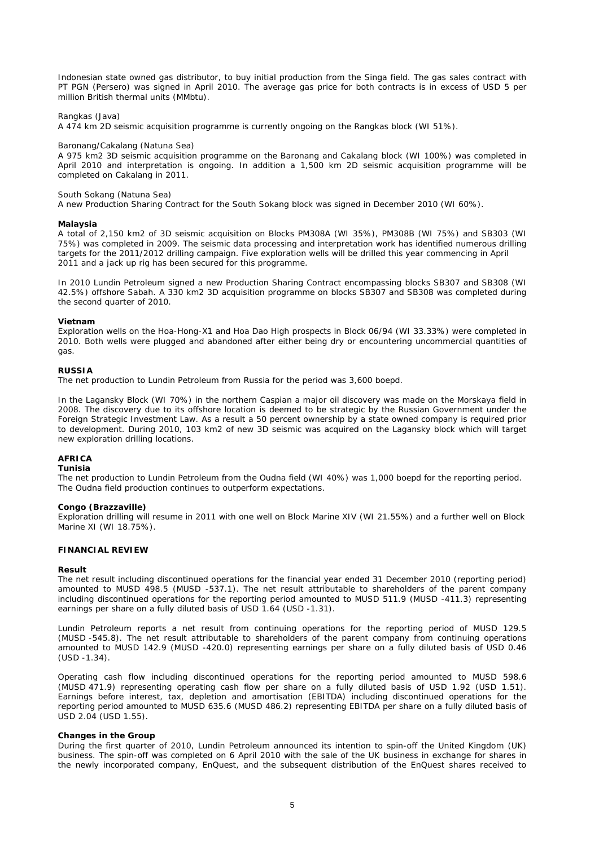Indonesian state owned gas distributor, to buy initial production from the Singa field. The gas sales contract with PT PGN (Persero) was signed in April 2010. The average gas price for both contracts is in excess of USD 5 per million British thermal units (MMbtu).

## *Rangkas (Java)*

A 474 km 2D seismic acquisition programme is currently ongoing on the Rangkas block (WI 51%).

#### *Baronang/Cakalang (Natuna Sea)*

A 975 km2 3D seismic acquisition programme on the Baronang and Cakalang block (WI 100%) was completed in April 2010 and interpretation is ongoing. In addition a 1,500 km 2D seismic acquisition programme will be completed on Cakalang in 2011.

#### *South Sokang (Natuna Sea)*

A new Production Sharing Contract for the South Sokang block was signed in December 2010 (WI 60%).

### **Malaysia**

A total of 2,150 km2 of 3D seismic acquisition on Blocks PM308A (WI 35%), PM308B (WI 75%) and SB303 (WI 75%) was completed in 2009. The seismic data processing and interpretation work has identified numerous drilling targets for the 2011/2012 drilling campaign. Five exploration wells will be drilled this year commencing in April 2011 and a jack up rig has been secured for this programme.

In 2010 Lundin Petroleum signed a new Production Sharing Contract encompassing blocks SB307 and SB308 (WI 42.5%) offshore Sabah. A 330 km2 3D acquisition programme on blocks SB307 and SB308 was completed during the second quarter of 2010.

#### **Vietnam**

Exploration wells on the Hoa-Hong-X1 and Hoa Dao High prospects in Block 06/94 (WI 33.33%) were completed in 2010. Both wells were plugged and abandoned after either being dry or encountering uncommercial quantities of gas.

#### **RUSSIA**

The net production to Lundin Petroleum from Russia for the period was 3,600 boepd.

In the Lagansky Block (WI 70%) in the northern Caspian a major oil discovery was made on the Morskaya field in 2008. The discovery due to its offshore location is deemed to be strategic by the Russian Government under the Foreign Strategic Investment Law. As a result a 50 percent ownership by a state owned company is required prior to development. During 2010, 103 km2 of new 3D seismic was acquired on the Lagansky block which will target new exploration drilling locations.

## **AFRICA**

### **Tunisia**

The net production to Lundin Petroleum from the Oudna field (WI 40%) was 1,000 boepd for the reporting period. The Oudna field production continues to outperform expectations.

#### **Congo (Brazzaville)**

Exploration drilling will resume in 2011 with one well on Block Marine XIV (WI 21.55%) and a further well on Block Marine XI (WI 18.75%).

## **FINANCIAL REVIEW**

#### **Result**

The net result including discontinued operations for the financial year ended 31 December 2010 (reporting period) amounted to MUSD 498.5 (MUSD -537.1). The net result attributable to shareholders of the parent company including discontinued operations for the reporting period amounted to MUSD 511.9 (MUSD -411.3) representing earnings per share on a fully diluted basis of USD 1.64 (USD -1.31).

Lundin Petroleum reports a net result from continuing operations for the reporting period of MUSD 129.5 (MUSD -545.8). The net result attributable to shareholders of the parent company from continuing operations amounted to MUSD 142.9 (MUSD -420.0) representing earnings per share on a fully diluted basis of USD 0.46 (USD -1.34).

Operating cash flow including discontinued operations for the reporting period amounted to MUSD 598.6 (MUSD 471.9) representing operating cash flow per share on a fully diluted basis of USD 1.92 (USD 1.51). Earnings before interest, tax, depletion and amortisation (EBITDA) including discontinued operations for the reporting period amounted to MUSD 635.6 (MUSD 486.2) representing EBITDA per share on a fully diluted basis of USD 2.04 (USD 1.55).

#### **Changes in the Group**

During the first quarter of 2010, Lundin Petroleum announced its intention to spin-off the United Kingdom (UK) business. The spin-off was completed on 6 April 2010 with the sale of the UK business in exchange for shares in the newly incorporated company, EnQuest, and the subsequent distribution of the EnQuest shares received to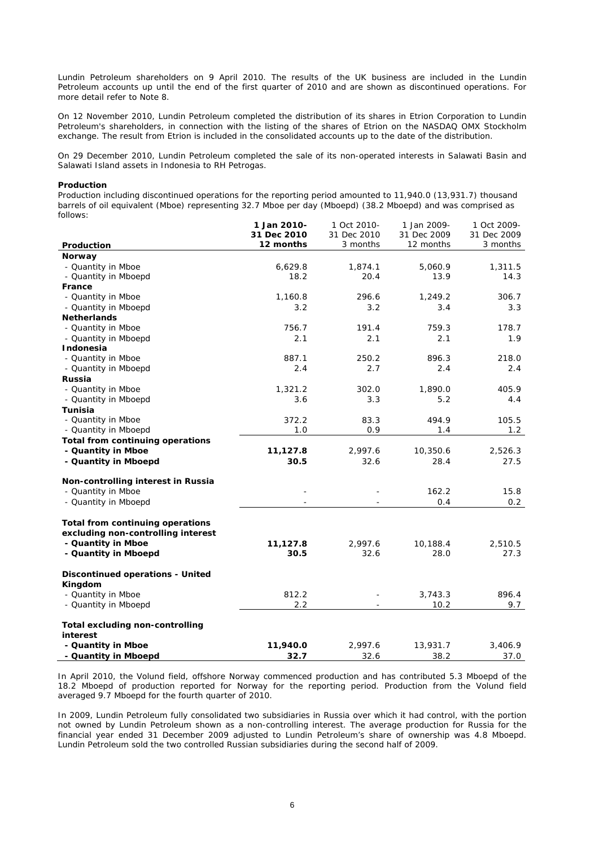Lundin Petroleum shareholders on 9 April 2010. The results of the UK business are included in the Lundin Petroleum accounts up until the end of the first quarter of 2010 and are shown as discontinued operations. For more detail refer to Note 8.

On 12 November 2010, Lundin Petroleum completed the distribution of its shares in Etrion Corporation to Lundin Petroleum's shareholders, in connection with the listing of the shares of Etrion on the NASDAQ OMX Stockholm exchange. The result from Etrion is included in the consolidated accounts up to the date of the distribution.

On 29 December 2010, Lundin Petroleum completed the sale of its non-operated interests in Salawati Basin and Salawati Island assets in Indonesia to RH Petrogas.

#### **Production**

Production including discontinued operations for the reporting period amounted to 11,940.0 (13,931.7) thousand barrels of oil equivalent (Mboe) representing 32.7 Mboe per day (Mboepd) (38.2 Mboepd) and was comprised as follows:

|                                        | 1 Jan 2010- | 1 Oct 2010- | 1 Jan 2009- | 1 Oct 2009- |
|----------------------------------------|-------------|-------------|-------------|-------------|
|                                        | 31 Dec 2010 | 31 Dec 2010 | 31 Dec 2009 | 31 Dec 2009 |
| Production                             | 12 months   | 3 months    | 12 months   | 3 months    |
| Norway                                 |             |             |             |             |
| - Quantity in Mboe                     | 6,629.8     | 1,874.1     | 5,060.9     | 1,311.5     |
| - Quantity in Mboepd                   | 18.2        | 20.4        | 13.9        | 14.3        |
| <b>France</b>                          |             |             |             |             |
| - Quantity in Mboe                     | 1,160.8     | 296.6       | 1,249.2     | 306.7       |
| - Quantity in Mboepd                   | 3.2         | 3.2         | 3.4         | 3.3         |
| <b>Netherlands</b>                     |             |             |             |             |
| - Quantity in Mboe                     | 756.7       | 191.4       | 759.3       | 178.7       |
| - Quantity in Mboepd                   | 2.1         | 2.1         | 2.1         | 1.9         |
| <b>Indonesia</b>                       |             |             |             |             |
| - Quantity in Mboe                     | 887.1       | 250.2       | 896.3       | 218.0       |
| - Quantity in Mboepd                   | 2.4         | 2.7         | 2.4         | 2.4         |
| <b>Russia</b>                          |             |             |             |             |
| - Quantity in Mboe                     | 1,321.2     | 302.0       | 1,890.0     | 405.9       |
| - Quantity in Mboepd                   | 3.6         | 3.3         | 5.2         | 4.4         |
| Tunisia                                |             |             |             |             |
| - Quantity in Mboe                     | 372.2       | 83.3        | 494.9       | 105.5       |
| - Quantity in Mboepd                   | 1.0         | 0.9         | 1.4         | 1.2         |
| Total from continuing operations       |             |             |             |             |
| - Quantity in Mboe                     | 11,127.8    | 2,997.6     | 10,350.6    | 2,526.3     |
| - Quantity in Mboepd                   | 30.5        | 32.6        | 28.4        | 27.5        |
| Non-controlling interest in Russia     |             |             |             |             |
| - Quantity in Mboe                     |             |             | 162.2       | 15.8        |
| - Quantity in Mboepd                   |             |             | 0.4         | 0.2         |
|                                        |             |             |             |             |
| Total from continuing operations       |             |             |             |             |
| excluding non-controlling interest     |             |             |             |             |
| - Quantity in Mboe                     | 11,127.8    | 2,997.6     | 10,188.4    | 2,510.5     |
| - Quantity in Mboepd                   | 30.5        | 32.6        | 28.0        | 27.3        |
|                                        |             |             |             |             |
| Discontinued operations - United       |             |             |             |             |
| Kingdom                                |             |             |             |             |
| - Quantity in Mboe                     | 812.2       |             | 3,743.3     | 896.4       |
| - Quantity in Mboepd                   | 2.2         |             | 10.2        | 9.7         |
|                                        |             |             |             |             |
| <b>Total excluding non-controlling</b> |             |             |             |             |
| interest                               |             |             |             |             |
| - Quantity in Mboe                     | 11,940.0    | 2,997.6     | 13,931.7    | 3,406.9     |
| - Quantity in Mboepd                   | 32.7        | 32.6        | 38.2        | 37.0        |

In April 2010, the Volund field, offshore Norway commenced production and has contributed 5.3 Mboepd of the 18.2 Mboepd of production reported for Norway for the reporting period. Production from the Volund field averaged 9.7 Mboepd for the fourth quarter of 2010.

In 2009, Lundin Petroleum fully consolidated two subsidiaries in Russia over which it had control, with the portion not owned by Lundin Petroleum shown as a non-controlling interest. The average production for Russia for the financial year ended 31 December 2009 adjusted to Lundin Petroleum's share of ownership was 4.8 Mboepd. Lundin Petroleum sold the two controlled Russian subsidiaries during the second half of 2009.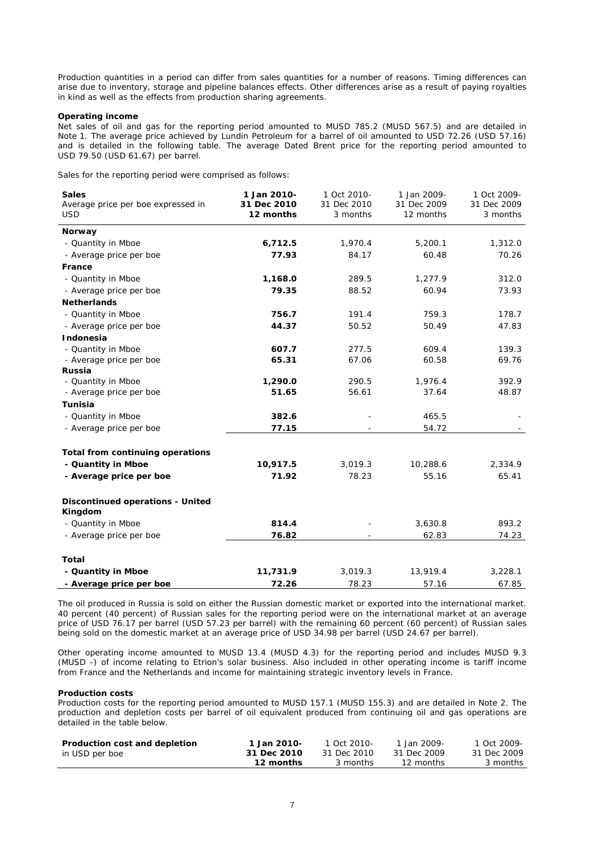Production quantities in a period can differ from sales quantities for a number of reasons. Timing differences can arise due to inventory, storage and pipeline balances effects. Other differences arise as a result of paying royalties in kind as well as the effects from production sharing agreements.

## **Operating income**

Net sales of oil and gas for the reporting period amounted to MUSD 785.2 (MUSD 567.5) and are detailed in Note 1. The average price achieved by Lundin Petroleum for a barrel of oil amounted to USD 72.26 (USD 57.16) and is detailed in the following table. The average Dated Brent price for the reporting period amounted to USD 79.50 (USD 61.67) per barrel.

Sales for the reporting period were comprised as follows:

| <b>Sales</b><br>Average price per boe expressed in<br><b>USD</b> | 1 Jan 2010-<br>31 Dec 2010<br>12 months | 1 Oct 2010-<br>31 Dec 2010<br>3 months | 1 Jan 2009-<br>31 Dec 2009<br>12 months | 1 Oct 2009-<br>31 Dec 2009<br>3 months |
|------------------------------------------------------------------|-----------------------------------------|----------------------------------------|-----------------------------------------|----------------------------------------|
| Norway                                                           |                                         |                                        |                                         |                                        |
| - Quantity in Mboe                                               | 6,712.5                                 | 1,970.4                                | 5,200.1                                 | 1,312.0                                |
| - Average price per boe                                          | 77.93                                   | 84.17                                  | 60.48                                   | 70.26                                  |
| France                                                           |                                         |                                        |                                         |                                        |
| - Quantity in Mboe                                               | 1,168.0                                 | 289.5                                  | 1,277.9                                 | 312.0                                  |
| - Average price per boe                                          | 79.35                                   | 88.52                                  | 60.94                                   | 73.93                                  |
| <b>Netherlands</b>                                               |                                         |                                        |                                         |                                        |
| - Quantity in Mboe                                               | 756.7                                   | 191.4                                  | 759.3                                   | 178.7                                  |
| - Average price per boe                                          | 44.37                                   | 50.52                                  | 50.49                                   | 47.83                                  |
| <b>Indonesia</b>                                                 |                                         |                                        |                                         |                                        |
| - Quantity in Mboe                                               | 607.7                                   | 277.5                                  | 609.4                                   | 139.3                                  |
| - Average price per boe                                          | 65.31                                   | 67.06                                  | 60.58                                   | 69.76                                  |
| <b>Russia</b>                                                    |                                         |                                        |                                         |                                        |
| - Quantity in Mboe                                               | 1,290.0                                 | 290.5                                  | 1,976.4                                 | 392.9                                  |
| - Average price per boe                                          | 51.65                                   | 56.61                                  | 37.64                                   | 48.87                                  |
| <b>Tunisia</b>                                                   |                                         |                                        |                                         |                                        |
| - Quantity in Mboe                                               | 382.6                                   |                                        | 465.5                                   |                                        |
| - Average price per boe                                          | 77.15                                   |                                        | 54.72                                   |                                        |
| Total from continuing operations                                 |                                         |                                        |                                         |                                        |
| - Quantity in Mboe                                               | 10,917.5                                | 3,019.3                                | 10,288.6                                | 2,334.9                                |
| - Average price per boe                                          | 71.92                                   | 78.23                                  | 55.16                                   | 65.41                                  |
| <b>Discontinued operations - United</b><br>Kingdom               |                                         |                                        |                                         |                                        |
| - Quantity in Mboe                                               | 814.4                                   |                                        | 3,630.8                                 | 893.2                                  |
| - Average price per boe                                          | 76.82                                   |                                        | 62.83                                   | 74.23                                  |
| <b>Total</b>                                                     |                                         |                                        |                                         |                                        |
| - Quantity in Mboe                                               | 11,731.9                                | 3,019.3                                | 13,919.4                                | 3,228.1                                |
| - Average price per boe                                          | 72.26                                   | 78.23                                  | 57.16                                   | 67.85                                  |

The oil produced in Russia is sold on either the Russian domestic market or exported into the international market. 40 percent (40 percent) of Russian sales for the reporting period were on the international market at an average price of USD 76.17 per barrel (USD 57.23 per barrel) with the remaining 60 percent (60 percent) of Russian sales being sold on the domestic market at an average price of USD 34.98 per barrel (USD 24.67 per barrel).

Other operating income amounted to MUSD 13.4 (MUSD 4.3) for the reporting period and includes MUSD 9.3 (MUSD -) of income relating to Etrion's solar business. Also included in other operating income is tariff income from France and the Netherlands and income for maintaining strategic inventory levels in France.

## **Production costs**

Production costs for the reporting period amounted to MUSD 157.1 (MUSD 155.3) and are detailed in Note 2. The production and depletion costs per barrel of oil equivalent produced from continuing oil and gas operations are detailed in the table below.

| Production cost and depletion | 1 Jan 2010- | 1 Oct 2010- | 1 Jan 2009- | 1 Oct 2009- |
|-------------------------------|-------------|-------------|-------------|-------------|
| in USD per boe                | 31 Dec 2010 | 31 Dec 2010 | 31 Dec 2009 | 31 Dec 2009 |
|                               | 12 months   | 3 months    | 12 months   | 3 months    |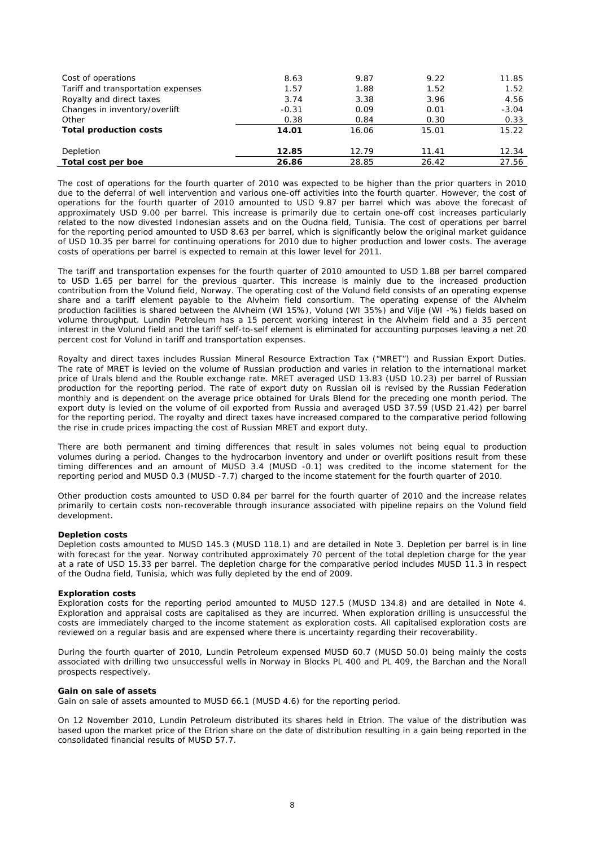| Cost of operations                 | 8.63    | 9.87  | 9.22  | 11.85   |
|------------------------------------|---------|-------|-------|---------|
| Tariff and transportation expenses | 1.57    | 1.88  | 1.52  | 1.52    |
| Royalty and direct taxes           | 3.74    | 3.38  | 3.96  | 4.56    |
| Changes in inventory/overlift      | $-0.31$ | 0.09  | 0.01  | $-3.04$ |
| Other                              | 0.38    | 0.84  | 0.30  | 0.33    |
| <b>Total production costs</b>      | 14.01   | 16.06 | 15.01 | 15.22   |
| Depletion                          | 12.85   | 12.79 | 11.41 | 12.34   |
| Total cost per boe                 | 26.86   | 28.85 | 26.42 | 27.56   |

The cost of operations for the fourth quarter of 2010 was expected to be higher than the prior quarters in 2010 due to the deferral of well intervention and various one-off activities into the fourth quarter. However, the cost of operations for the fourth quarter of 2010 amounted to USD 9.87 per barrel which was above the forecast of approximately USD 9.00 per barrel. This increase is primarily due to certain one-off cost increases particularly related to the now divested Indonesian assets and on the Oudna field, Tunisia. The cost of operations per barrel for the reporting period amounted to USD 8.63 per barrel, which is significantly below the original market guidance of USD 10.35 per barrel for continuing operations for 2010 due to higher production and lower costs. The average costs of operations per barrel is expected to remain at this lower level for 2011.

The tariff and transportation expenses for the fourth quarter of 2010 amounted to USD 1.88 per barrel compared to USD 1.65 per barrel for the previous quarter. This increase is mainly due to the increased production contribution from the Volund field, Norway. The operating cost of the Volund field consists of an operating expense share and a tariff element payable to the Alvheim field consortium. The operating expense of the Alvheim production facilities is shared between the Alvheim (WI 15%), Volund (WI 35%) and Vilje (WI -%) fields based on volume throughput. Lundin Petroleum has a 15 percent working interest in the Alvheim field and a 35 percent interest in the Volund field and the tariff self-to-self element is eliminated for accounting purposes leaving a net 20 percent cost for Volund in tariff and transportation expenses.

Royalty and direct taxes includes Russian Mineral Resource Extraction Tax ("MRET") and Russian Export Duties. The rate of MRET is levied on the volume of Russian production and varies in relation to the international market price of Urals blend and the Rouble exchange rate. MRET averaged USD 13.83 (USD 10.23) per barrel of Russian production for the reporting period. The rate of export duty on Russian oil is revised by the Russian Federation monthly and is dependent on the average price obtained for Urals Blend for the preceding one month period. The export duty is levied on the volume of oil exported from Russia and averaged USD 37.59 (USD 21.42) per barrel for the reporting period. The royalty and direct taxes have increased compared to the comparative period following the rise in crude prices impacting the cost of Russian MRET and export duty.

There are both permanent and timing differences that result in sales volumes not being equal to production volumes during a period. Changes to the hydrocarbon inventory and under or overlift positions result from these timing differences and an amount of MUSD 3.4 (MUSD -0.1) was credited to the income statement for the reporting period and MUSD 0.3 (MUSD -7.7) charged to the income statement for the fourth quarter of 2010.

Other production costs amounted to USD 0.84 per barrel for the fourth quarter of 2010 and the increase relates primarily to certain costs non-recoverable through insurance associated with pipeline repairs on the Volund field development.

## **Depletion costs**

Depletion costs amounted to MUSD 145.3 (MUSD 118.1) and are detailed in Note 3. Depletion per barrel is in line with forecast for the year. Norway contributed approximately 70 percent of the total depletion charge for the year at a rate of USD 15.33 per barrel. The depletion charge for the comparative period includes MUSD 11.3 in respect of the Oudna field, Tunisia, which was fully depleted by the end of 2009.

## **Exploration costs**

Exploration costs for the reporting period amounted to MUSD 127.5 (MUSD 134.8) and are detailed in Note 4. Exploration and appraisal costs are capitalised as they are incurred. When exploration drilling is unsuccessful the costs are immediately charged to the income statement as exploration costs. All capitalised exploration costs are reviewed on a regular basis and are expensed where there is uncertainty regarding their recoverability.

During the fourth quarter of 2010, Lundin Petroleum expensed MUSD 60.7 (MUSD 50.0) being mainly the costs associated with drilling two unsuccessful wells in Norway in Blocks PL 400 and PL 409, the Barchan and the Norall prospects respectively.

## **Gain on sale of assets**

Gain on sale of assets amounted to MUSD 66.1 (MUSD 4.6) for the reporting period.

On 12 November 2010, Lundin Petroleum distributed its shares held in Etrion. The value of the distribution was based upon the market price of the Etrion share on the date of distribution resulting in a gain being reported in the consolidated financial results of MUSD 57.7.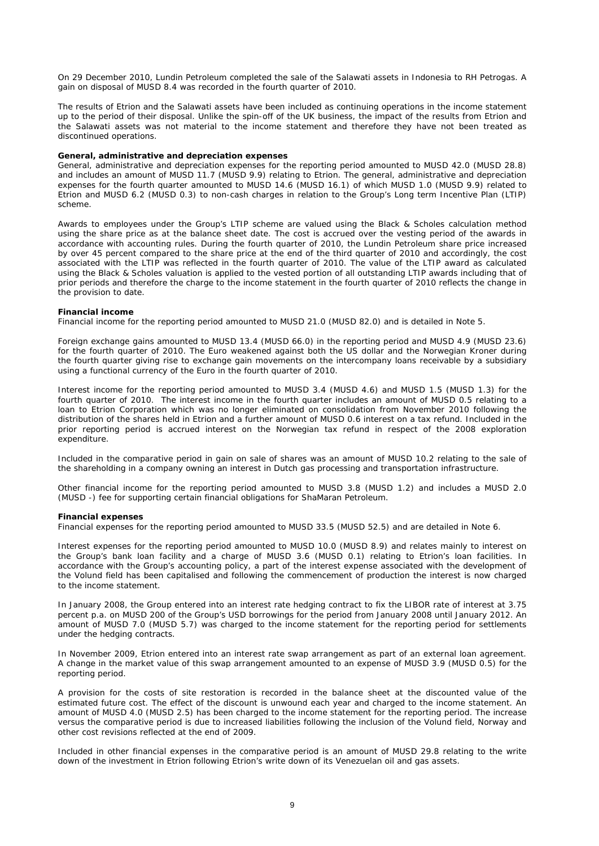On 29 December 2010, Lundin Petroleum completed the sale of the Salawati assets in Indonesia to RH Petrogas. A gain on disposal of MUSD 8.4 was recorded in the fourth quarter of 2010.

The results of Etrion and the Salawati assets have been included as continuing operations in the income statement up to the period of their disposal. Unlike the spin-off of the UK business, the impact of the results from Etrion and the Salawati assets was not material to the income statement and therefore they have not been treated as discontinued operations.

## **General, administrative and depreciation expenses**

General, administrative and depreciation expenses for the reporting period amounted to MUSD 42.0 (MUSD 28.8) and includes an amount of MUSD 11.7 (MUSD 9.9) relating to Etrion. The general, administrative and depreciation expenses for the fourth quarter amounted to MUSD 14.6 (MUSD 16.1) of which MUSD 1.0 (MUSD 9.9) related to Etrion and MUSD 6.2 (MUSD 0.3) to non-cash charges in relation to the Group's Long term Incentive Plan (LTIP) scheme.

Awards to employees under the Group's LTIP scheme are valued using the Black & Scholes calculation method using the share price as at the balance sheet date. The cost is accrued over the vesting period of the awards in accordance with accounting rules. During the fourth quarter of 2010, the Lundin Petroleum share price increased by over 45 percent compared to the share price at the end of the third quarter of 2010 and accordingly, the cost associated with the LTIP was reflected in the fourth quarter of 2010. The value of the LTIP award as calculated using the Black & Scholes valuation is applied to the vested portion of all outstanding LTIP awards including that of prior periods and therefore the charge to the income statement in the fourth quarter of 2010 reflects the change in the provision to date.

### **Financial income**

Financial income for the reporting period amounted to MUSD 21.0 (MUSD 82.0) and is detailed in Note 5.

Foreign exchange gains amounted to MUSD 13.4 (MUSD 66.0) in the reporting period and MUSD 4.9 (MUSD 23.6) for the fourth quarter of 2010. The Euro weakened against both the US dollar and the Norwegian Kroner during the fourth quarter giving rise to exchange gain movements on the intercompany loans receivable by a subsidiary using a functional currency of the Euro in the fourth quarter of 2010.

Interest income for the reporting period amounted to MUSD 3.4 (MUSD 4.6) and MUSD 1.5 (MUSD 1.3) for the fourth quarter of 2010. The interest income in the fourth quarter includes an amount of MUSD 0.5 relating to a loan to Etrion Corporation which was no longer eliminated on consolidation from November 2010 following the distribution of the shares held in Etrion and a further amount of MUSD 0.6 interest on a tax refund. Included in the prior reporting period is accrued interest on the Norwegian tax refund in respect of the 2008 exploration expenditure.

Included in the comparative period in gain on sale of shares was an amount of MUSD 10.2 relating to the sale of the shareholding in a company owning an interest in Dutch gas processing and transportation infrastructure.

Other financial income for the reporting period amounted to MUSD 3.8 (MUSD 1.2) and includes a MUSD 2.0 (MUSD -) fee for supporting certain financial obligations for ShaMaran Petroleum.

#### **Financial expenses**

Financial expenses for the reporting period amounted to MUSD 33.5 (MUSD 52.5) and are detailed in Note 6.

Interest expenses for the reporting period amounted to MUSD 10.0 (MUSD 8.9) and relates mainly to interest on the Group's bank loan facility and a charge of MUSD 3.6 (MUSD 0.1) relating to Etrion's loan facilities. In accordance with the Group's accounting policy, a part of the interest expense associated with the development of the Volund field has been capitalised and following the commencement of production the interest is now charged to the income statement.

In January 2008, the Group entered into an interest rate hedging contract to fix the LIBOR rate of interest at 3.75 percent p.a. on MUSD 200 of the Group's USD borrowings for the period from January 2008 until January 2012. An amount of MUSD 7.0 (MUSD 5.7) was charged to the income statement for the reporting period for settlements under the hedging contracts.

In November 2009, Etrion entered into an interest rate swap arrangement as part of an external loan agreement. A change in the market value of this swap arrangement amounted to an expense of MUSD 3.9 (MUSD 0.5) for the reporting period.

A provision for the costs of site restoration is recorded in the balance sheet at the discounted value of the estimated future cost. The effect of the discount is unwound each year and charged to the income statement. An amount of MUSD 4.0 (MUSD 2.5) has been charged to the income statement for the reporting period. The increase versus the comparative period is due to increased liabilities following the inclusion of the Volund field, Norway and other cost revisions reflected at the end of 2009.

Included in other financial expenses in the comparative period is an amount of MUSD 29.8 relating to the write down of the investment in Etrion following Etrion's write down of its Venezuelan oil and gas assets.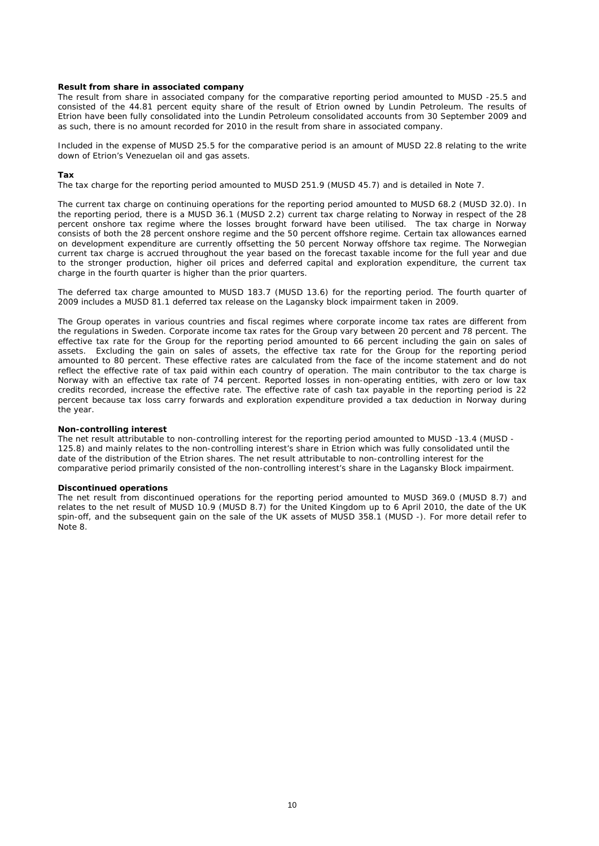## **Result from share in associated company**

The result from share in associated company for the comparative reporting period amounted to MUSD -25.5 and consisted of the 44.81 percent equity share of the result of Etrion owned by Lundin Petroleum. The results of Etrion have been fully consolidated into the Lundin Petroleum consolidated accounts from 30 September 2009 and as such, there is no amount recorded for 2010 in the result from share in associated company.

Included in the expense of MUSD 25.5 for the comparative period is an amount of MUSD 22.8 relating to the write down of Etrion's Venezuelan oil and gas assets.

#### **Tax**

The tax charge for the reporting period amounted to MUSD 251.9 (MUSD 45.7) and is detailed in Note 7.

The current tax charge on continuing operations for the reporting period amounted to MUSD 68.2 (MUSD 32.0). In the reporting period, there is a MUSD 36.1 (MUSD 2.2) current tax charge relating to Norway in respect of the 28 percent onshore tax regime where the losses brought forward have been utilised. The tax charge in Norway consists of both the 28 percent onshore regime and the 50 percent offshore regime. Certain tax allowances earned on development expenditure are currently offsetting the 50 percent Norway offshore tax regime. The Norwegian current tax charge is accrued throughout the year based on the forecast taxable income for the full year and due to the stronger production, higher oil prices and deferred capital and exploration expenditure, the current tax charge in the fourth quarter is higher than the prior quarters.

The deferred tax charge amounted to MUSD 183.7 (MUSD 13.6) for the reporting period. The fourth quarter of 2009 includes a MUSD 81.1 deferred tax release on the Lagansky block impairment taken in 2009.

The Group operates in various countries and fiscal regimes where corporate income tax rates are different from the regulations in Sweden. Corporate income tax rates for the Group vary between 20 percent and 78 percent. The effective tax rate for the Group for the reporting period amounted to 66 percent including the gain on sales of assets. Excluding the gain on sales of assets, the effective tax rate for the Group for the reporting period amounted to 80 percent. These effective rates are calculated from the face of the income statement and do not reflect the effective rate of tax paid within each country of operation. The main contributor to the tax charge is Norway with an effective tax rate of 74 percent. Reported losses in non-operating entities, with zero or low tax credits recorded, increase the effective rate. The effective rate of cash tax payable in the reporting period is 22 percent because tax loss carry forwards and exploration expenditure provided a tax deduction in Norway during the year.

### **Non-controlling interest**

The net result attributable to non-controlling interest for the reporting period amounted to MUSD -13.4 (MUSD - 125.8) and mainly relates to the non-controlling interest's share in Etrion which was fully consolidated until the date of the distribution of the Etrion shares. The net result attributable to non-controlling interest for the comparative period primarily consisted of the non-controlling interest's share in the Lagansky Block impairment.

## **Discontinued operations**

The net result from discontinued operations for the reporting period amounted to MUSD 369.0 (MUSD 8.7) and relates to the net result of MUSD 10.9 (MUSD 8.7) for the United Kingdom up to 6 April 2010, the date of the UK spin-off, and the subsequent gain on the sale of the UK assets of MUSD 358.1 (MUSD -). For more detail refer to Note 8.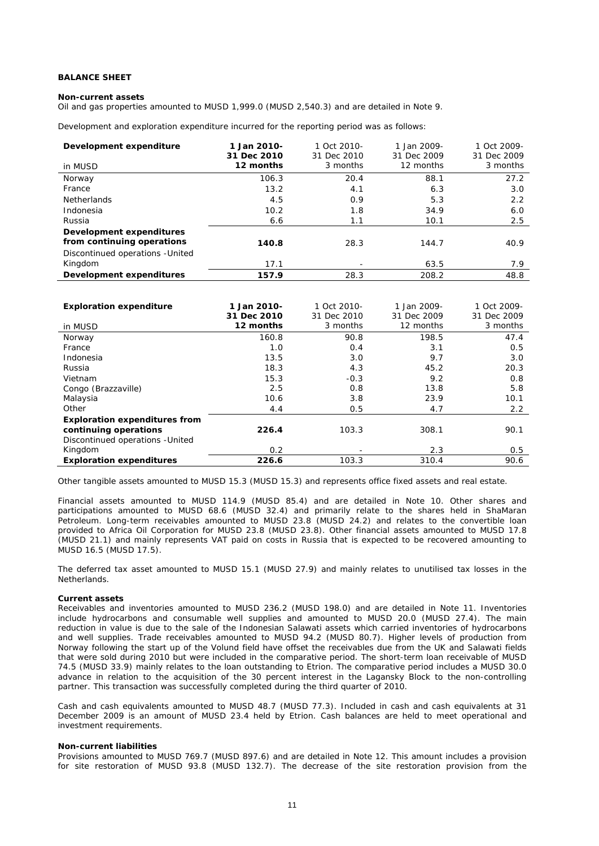## **BALANCE SHEET**

#### **Non-current assets**

Oil and gas properties amounted to MUSD 1,999.0 (MUSD 2,540.3) and are detailed in Note 9.

Development and exploration expenditure incurred for the reporting period was as follows:

| Development expenditure<br>in MUSD | 1 Jan 2010-<br>31 Dec 2010<br>12 months | 1 Oct 2010-<br>31 Dec 2010<br>3 months | 1 Jan 2009-<br>31 Dec 2009<br>12 months | 1 Oct 2009-<br>31 Dec 2009<br>3 months |
|------------------------------------|-----------------------------------------|----------------------------------------|-----------------------------------------|----------------------------------------|
|                                    | 106.3                                   | 20.4                                   | 88.1                                    | 27.2                                   |
| Norway                             |                                         |                                        |                                         |                                        |
| France                             | 13.2                                    | 4.1                                    | 6.3                                     | 3.0                                    |
| <b>Netherlands</b>                 | 4.5                                     | 0.9                                    | 5.3                                     | 2.2                                    |
| Indonesia                          | 10.2                                    | 1.8                                    | 34.9                                    | 6.0                                    |
| Russia                             | 6.6                                     | 1.1                                    | 10.1                                    | 2.5                                    |
| Development expenditures           |                                         |                                        |                                         |                                        |
| from continuing operations         | 140.8                                   | 28.3                                   | 144.7                                   | 40.9                                   |
| Discontinued operations - United   |                                         |                                        |                                         |                                        |
| Kingdom                            | 17.1                                    |                                        | 63.5                                    | 7.9                                    |
| Development expenditures           | 157.9                                   | 28.3                                   | 208.2                                   | 48.8                                   |

| <b>Exploration expenditure</b>       | 1 Jan 2010- | 1 Oct 2010- | 1 Jan 2009- | 1 Oct 2009- |
|--------------------------------------|-------------|-------------|-------------|-------------|
|                                      | 31 Dec 2010 | 31 Dec 2010 | 31 Dec 2009 | 31 Dec 2009 |
| in MUSD                              | 12 months   | 3 months    | 12 months   | 3 months    |
| Norway                               | 160.8       | 90.8        | 198.5       | 47.4        |
| France                               | 1.0         | 0.4         | 3.1         | 0.5         |
| Indonesia                            | 13.5        | 3.0         | 9.7         | 3.0         |
| Russia                               | 18.3        | 4.3         | 45.2        | 20.3        |
| Vietnam                              | 15.3        | $-0.3$      | 9.2         | 0.8         |
| Congo (Brazzaville)                  | 2.5         | 0.8         | 13.8        | 5.8         |
| Malaysia                             | 10.6        | 3.8         | 23.9        | 10.1        |
| Other                                | 4.4         | 0.5         | 4.7         | 2.2         |
| <b>Exploration expenditures from</b> |             |             |             |             |
| continuing operations                | 226.4       | 103.3       | 308.1       | 90.1        |
| Discontinued operations - United     |             |             |             |             |
| Kingdom                              | 0.2         |             | 2.3         | 0.5         |
| <b>Exploration expenditures</b>      | 226.6       | 103.3       | 310.4       | 90.6        |

Other tangible assets amounted to MUSD 15.3 (MUSD 15.3) and represents office fixed assets and real estate.

Financial assets amounted to MUSD 114.9 (MUSD 85.4) and are detailed in Note 10. Other shares and participations amounted to MUSD 68.6 (MUSD 32.4) and primarily relate to the shares held in ShaMaran Petroleum. Long-term receivables amounted to MUSD 23.8 (MUSD 24.2) and relates to the convertible loan provided to Africa Oil Corporation for MUSD 23.8 (MUSD 23.8). Other financial assets amounted to MUSD 17.8 (MUSD 21.1) and mainly represents VAT paid on costs in Russia that is expected to be recovered amounting to MUSD 16.5 (MUSD 17.5).

The deferred tax asset amounted to MUSD 15.1 (MUSD 27.9) and mainly relates to unutilised tax losses in the Netherlands.

#### **Current assets**

Receivables and inventories amounted to MUSD 236.2 (MUSD 198.0) and are detailed in Note 11. Inventories include hydrocarbons and consumable well supplies and amounted to MUSD 20.0 (MUSD 27.4). The main reduction in value is due to the sale of the Indonesian Salawati assets which carried inventories of hydrocarbons and well supplies. Trade receivables amounted to MUSD 94.2 (MUSD 80.7). Higher levels of production from Norway following the start up of the Volund field have offset the receivables due from the UK and Salawati fields that were sold during 2010 but were included in the comparative period. The short-term loan receivable of MUSD 74.5 (MUSD 33.9) mainly relates to the loan outstanding to Etrion. The comparative period includes a MUSD 30.0 advance in relation to the acquisition of the 30 percent interest in the Lagansky Block to the non-controlling partner. This transaction was successfully completed during the third quarter of 2010.

Cash and cash equivalents amounted to MUSD 48.7 (MUSD 77.3). Included in cash and cash equivalents at 31 December 2009 is an amount of MUSD 23.4 held by Etrion. Cash balances are held to meet operational and investment requirements.

#### **Non-current liabilities**

Provisions amounted to MUSD 769.7 (MUSD 897.6) and are detailed in Note 12. This amount includes a provision for site restoration of MUSD 93.8 (MUSD 132.7). The decrease of the site restoration provision from the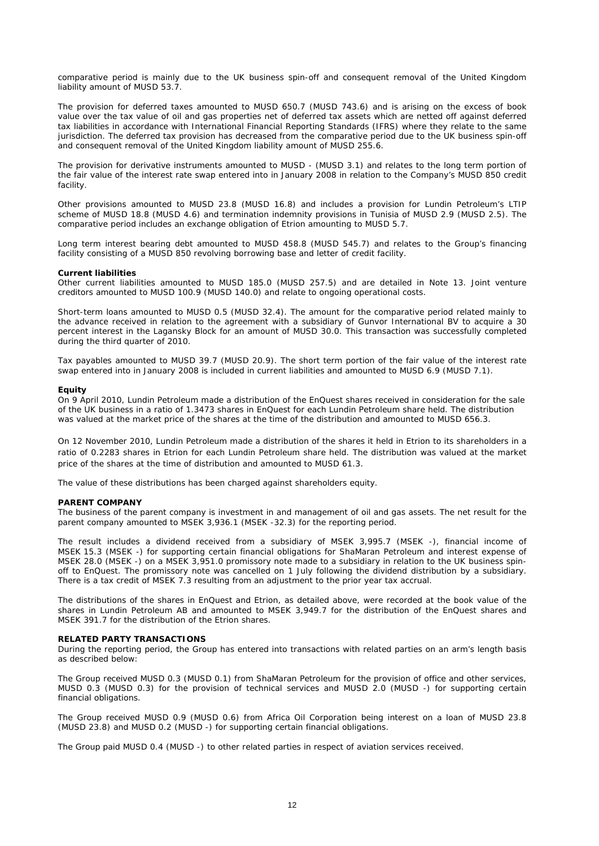comparative period is mainly due to the UK business spin-off and consequent removal of the United Kingdom liability amount of MUSD 53.7.

The provision for deferred taxes amounted to MUSD 650.7 (MUSD 743.6) and is arising on the excess of book value over the tax value of oil and gas properties net of deferred tax assets which are netted off against deferred tax liabilities in accordance with International Financial Reporting Standards (IFRS) where they relate to the same jurisdiction. The deferred tax provision has decreased from the comparative period due to the UK business spin-off and consequent removal of the United Kingdom liability amount of MUSD 255.6.

The provision for derivative instruments amounted to MUSD - (MUSD 3.1) and relates to the long term portion of the fair value of the interest rate swap entered into in January 2008 in relation to the Company's MUSD 850 credit facility.

Other provisions amounted to MUSD 23.8 (MUSD 16.8) and includes a provision for Lundin Petroleum's LTIP scheme of MUSD 18.8 (MUSD 4.6) and termination indemnity provisions in Tunisia of MUSD 2.9 (MUSD 2.5). The comparative period includes an exchange obligation of Etrion amounting to MUSD 5.7.

Long term interest bearing debt amounted to MUSD 458.8 (MUSD 545.7) and relates to the Group's financing facility consisting of a MUSD 850 revolving borrowing base and letter of credit facility.

## **Current liabilities**

Other current liabilities amounted to MUSD 185.0 (MUSD 257.5) and are detailed in Note 13. Joint venture creditors amounted to MUSD 100.9 (MUSD 140.0) and relate to ongoing operational costs.

Short-term loans amounted to MUSD 0.5 (MUSD 32.4). The amount for the comparative period related mainly to the advance received in relation to the agreement with a subsidiary of Gunvor International BV to acquire a 30 percent interest in the Lagansky Block for an amount of MUSD 30.0. This transaction was successfully completed during the third quarter of 2010.

Tax payables amounted to MUSD 39.7 (MUSD 20.9). The short term portion of the fair value of the interest rate swap entered into in January 2008 is included in current liabilities and amounted to MUSD 6.9 (MUSD 7.1).

## **Equity**

On 9 April 2010, Lundin Petroleum made a distribution of the EnQuest shares received in consideration for the sale of the UK business in a ratio of 1.3473 shares in EnQuest for each Lundin Petroleum share held. The distribution was valued at the market price of the shares at the time of the distribution and amounted to MUSD 656.3.

On 12 November 2010, Lundin Petroleum made a distribution of the shares it held in Etrion to its shareholders in a ratio of 0.2283 shares in Etrion for each Lundin Petroleum share held. The distribution was valued at the market price of the shares at the time of distribution and amounted to MUSD 61.3.

The value of these distributions has been charged against shareholders equity.

## **PARENT COMPANY**

The business of the parent company is investment in and management of oil and gas assets. The net result for the parent company amounted to MSEK 3,936.1 (MSEK -32.3) for the reporting period.

The result includes a dividend received from a subsidiary of MSEK 3,995.7 (MSEK -), financial income of MSEK 15.3 (MSEK -) for supporting certain financial obligations for ShaMaran Petroleum and interest expense of MSEK 28.0 (MSEK -) on a MSEK 3,951.0 promissory note made to a subsidiary in relation to the UK business spinoff to EnQuest. The promissory note was cancelled on 1 July following the dividend distribution by a subsidiary. There is a tax credit of MSEK 7.3 resulting from an adjustment to the prior year tax accrual.

The distributions of the shares in EnQuest and Etrion, as detailed above, were recorded at the book value of the shares in Lundin Petroleum AB and amounted to MSEK 3,949.7 for the distribution of the EnQuest shares and MSEK 391.7 for the distribution of the Etrion shares.

## **RELATED PARTY TRANSACTIONS**

During the reporting period, the Group has entered into transactions with related parties on an arm's length basis as described below:

The Group received MUSD 0.3 (MUSD 0.1) from ShaMaran Petroleum for the provision of office and other services, MUSD 0.3 (MUSD 0.3) for the provision of technical services and MUSD 2.0 (MUSD -) for supporting certain financial obligations.

The Group received MUSD 0.9 (MUSD 0.6) from Africa Oil Corporation being interest on a loan of MUSD 23.8 (MUSD 23.8) and MUSD 0.2 (MUSD -) for supporting certain financial obligations.

The Group paid MUSD 0.4 (MUSD -) to other related parties in respect of aviation services received.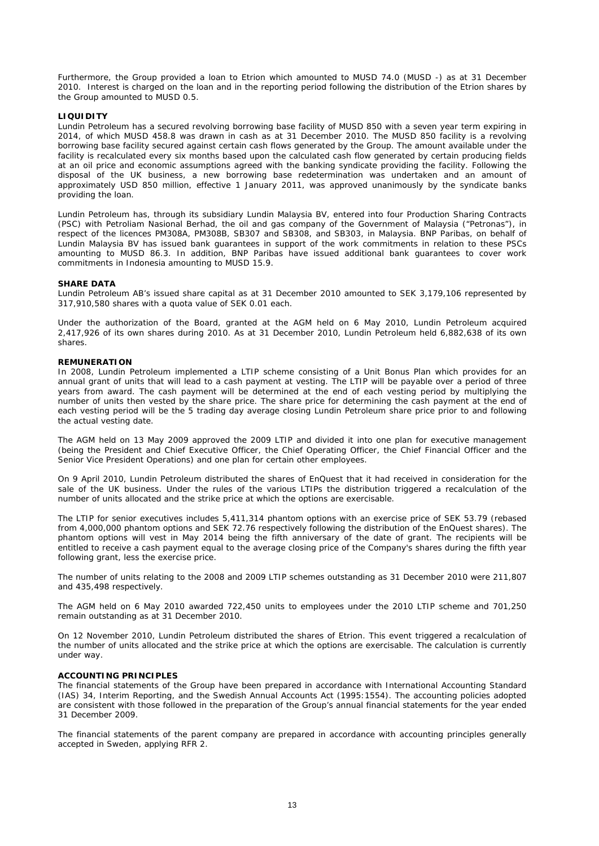Furthermore, the Group provided a loan to Etrion which amounted to MUSD 74.0 (MUSD -) as at 31 December 2010. Interest is charged on the loan and in the reporting period following the distribution of the Etrion shares by the Group amounted to MUSD 0.5.

## **LIQUIDITY**

Lundin Petroleum has a secured revolving borrowing base facility of MUSD 850 with a seven year term expiring in 2014, of which MUSD 458.8 was drawn in cash as at 31 December 2010. The MUSD 850 facility is a revolving borrowing base facility secured against certain cash flows generated by the Group. The amount available under the facility is recalculated every six months based upon the calculated cash flow generated by certain producing fields at an oil price and economic assumptions agreed with the banking syndicate providing the facility. Following the disposal of the UK business, a new borrowing base redetermination was undertaken and an amount of approximately USD 850 million, effective 1 January 2011, was approved unanimously by the syndicate banks providing the loan.

Lundin Petroleum has, through its subsidiary Lundin Malaysia BV, entered into four Production Sharing Contracts (PSC) with Petroliam Nasional Berhad, the oil and gas company of the Government of Malaysia ("Petronas"), in respect of the licences PM308A, PM308B, SB307 and SB308, and SB303, in Malaysia. BNP Paribas, on behalf of Lundin Malaysia BV has issued bank guarantees in support of the work commitments in relation to these PSCs amounting to MUSD 86.3. In addition, BNP Paribas have issued additional bank guarantees to cover work commitments in Indonesia amounting to MUSD 15.9.

## **SHARE DATA**

Lundin Petroleum AB's issued share capital as at 31 December 2010 amounted to SEK 3,179,106 represented by 317,910,580 shares with a quota value of SEK 0.01 each.

Under the authorization of the Board, granted at the AGM held on 6 May 2010, Lundin Petroleum acquired 2,417,926 of its own shares during 2010. As at 31 December 2010, Lundin Petroleum held 6,882,638 of its own shares.

## **REMUNERATION**

In 2008, Lundin Petroleum implemented a LTIP scheme consisting of a Unit Bonus Plan which provides for an annual grant of units that will lead to a cash payment at vesting. The LTIP will be payable over a period of three years from award. The cash payment will be determined at the end of each vesting period by multiplying the number of units then vested by the share price. The share price for determining the cash payment at the end of each vesting period will be the 5 trading day average closing Lundin Petroleum share price prior to and following the actual vesting date.

The AGM held on 13 May 2009 approved the 2009 LTIP and divided it into one plan for executive management (being the President and Chief Executive Officer, the Chief Operating Officer, the Chief Financial Officer and the Senior Vice President Operations) and one plan for certain other employees.

On 9 April 2010, Lundin Petroleum distributed the shares of EnQuest that it had received in consideration for the sale of the UK business. Under the rules of the various LTIPs the distribution triggered a recalculation of the number of units allocated and the strike price at which the options are exercisable.

The LTIP for senior executives includes 5,411,314 phantom options with an exercise price of SEK 53.79 (rebased from 4,000,000 phantom options and SEK 72.76 respectively following the distribution of the EnQuest shares). The phantom options will vest in May 2014 being the fifth anniversary of the date of grant. The recipients will be entitled to receive a cash payment equal to the average closing price of the Company's shares during the fifth year following grant, less the exercise price.

The number of units relating to the 2008 and 2009 LTIP schemes outstanding as 31 December 2010 were 211,807 and 435,498 respectively.

The AGM held on 6 May 2010 awarded 722,450 units to employees under the 2010 LTIP scheme and 701,250 remain outstanding as at 31 December 2010.

On 12 November 2010, Lundin Petroleum distributed the shares of Etrion. This event triggered a recalculation of the number of units allocated and the strike price at which the options are exercisable. The calculation is currently under way.

## **ACCOUNTING PRINCIPLES**

The financial statements of the Group have been prepared in accordance with International Accounting Standard (IAS) 34, Interim Reporting, and the Swedish Annual Accounts Act (1995:1554). The accounting policies adopted are consistent with those followed in the preparation of the Group's annual financial statements for the year ended 31 December 2009.

The financial statements of the parent company are prepared in accordance with accounting principles generally accepted in Sweden, applying RFR 2.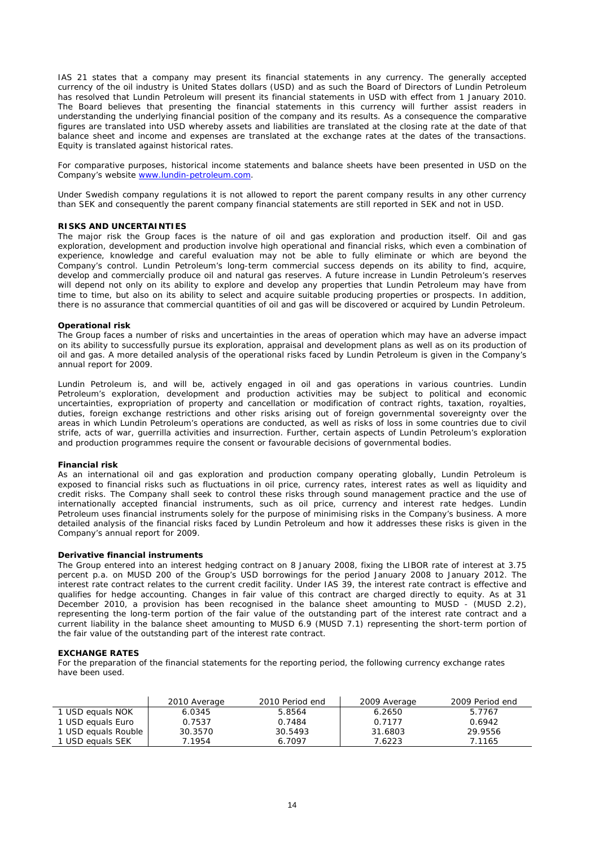IAS 21 states that a company may present its financial statements in any currency. The generally accepted currency of the oil industry is United States dollars (USD) and as such the Board of Directors of Lundin Petroleum has resolved that Lundin Petroleum will present its financial statements in USD with effect from 1 January 2010. The Board believes that presenting the financial statements in this currency will further assist readers in understanding the underlying financial position of the company and its results. As a consequence the comparative figures are translated into USD whereby assets and liabilities are translated at the closing rate at the date of that balance sheet and income and expenses are translated at the exchange rates at the dates of the transactions. Equity is translated against historical rates.

For comparative purposes, historical income statements and balance sheets have been presented in USD on the Company's website www.lundin-petroleum.com.

Under Swedish company regulations it is not allowed to report the parent company results in any other currency than SEK and consequently the parent company financial statements are still reported in SEK and not in USD.

## **RISKS AND UNCERTAINTIES**

The major risk the Group faces is the nature of oil and gas exploration and production itself. Oil and gas exploration, development and production involve high operational and financial risks, which even a combination of experience, knowledge and careful evaluation may not be able to fully eliminate or which are beyond the Company's control. Lundin Petroleum's long-term commercial success depends on its ability to find, acquire, develop and commercially produce oil and natural gas reserves. A future increase in Lundin Petroleum's reserves will depend not only on its ability to explore and develop any properties that Lundin Petroleum may have from time to time, but also on its ability to select and acquire suitable producing properties or prospects. In addition, there is no assurance that commercial quantities of oil and gas will be discovered or acquired by Lundin Petroleum.

## **Operational risk**

The Group faces a number of risks and uncertainties in the areas of operation which may have an adverse impact on its ability to successfully pursue its exploration, appraisal and development plans as well as on its production of oil and gas. A more detailed analysis of the operational risks faced by Lundin Petroleum is given in the Company's annual report for 2009.

Lundin Petroleum is, and will be, actively engaged in oil and gas operations in various countries. Lundin Petroleum's exploration, development and production activities may be subject to political and economic uncertainties, expropriation of property and cancellation or modification of contract rights, taxation, royalties, duties, foreign exchange restrictions and other risks arising out of foreign governmental sovereignty over the areas in which Lundin Petroleum's operations are conducted, as well as risks of loss in some countries due to civil strife, acts of war, guerrilla activities and insurrection. Further, certain aspects of Lundin Petroleum's exploration and production programmes require the consent or favourable decisions of governmental bodies.

#### **Financial risk**

As an international oil and gas exploration and production company operating globally, Lundin Petroleum is exposed to financial risks such as fluctuations in oil price, currency rates, interest rates as well as liquidity and credit risks. The Company shall seek to control these risks through sound management practice and the use of internationally accepted financial instruments, such as oil price, currency and interest rate hedges. Lundin Petroleum uses financial instruments solely for the purpose of minimising risks in the Company's business. A more detailed analysis of the financial risks faced by Lundin Petroleum and how it addresses these risks is given in the Company's annual report for 2009.

### **Derivative financial instruments**

The Group entered into an interest hedging contract on 8 January 2008, fixing the LIBOR rate of interest at 3.75 percent p.a. on MUSD 200 of the Group's USD borrowings for the period January 2008 to January 2012. The interest rate contract relates to the current credit facility. Under IAS 39, the interest rate contract is effective and qualifies for hedge accounting. Changes in fair value of this contract are charged directly to equity. As at 31 December 2010, a provision has been recognised in the balance sheet amounting to MUSD - (MUSD 2.2), representing the long-term portion of the fair value of the outstanding part of the interest rate contract and a current liability in the balance sheet amounting to MUSD 6.9 (MUSD 7.1) representing the short-term portion of the fair value of the outstanding part of the interest rate contract.

## **EXCHANGE RATES**

For the preparation of the financial statements for the reporting period, the following currency exchange rates have been used.

|                     | 2010 Average | 2010 Period end | 2009 Average | 2009 Period end |
|---------------------|--------------|-----------------|--------------|-----------------|
| 1 USD equals NOK    | 6.0345       | 5.8564          | 6.2650       | 5.7767          |
| 1 USD equals Euro   | 0.7537       | 0.7484          | 0.7177       | 0.6942          |
| 1 USD equals Rouble | 30.3570      | 30.5493         | 31.6803      | 29.9556         |
| 1 USD equals SEK    | 1954.        | 6.7097          | 7.6223       | 7.1165          |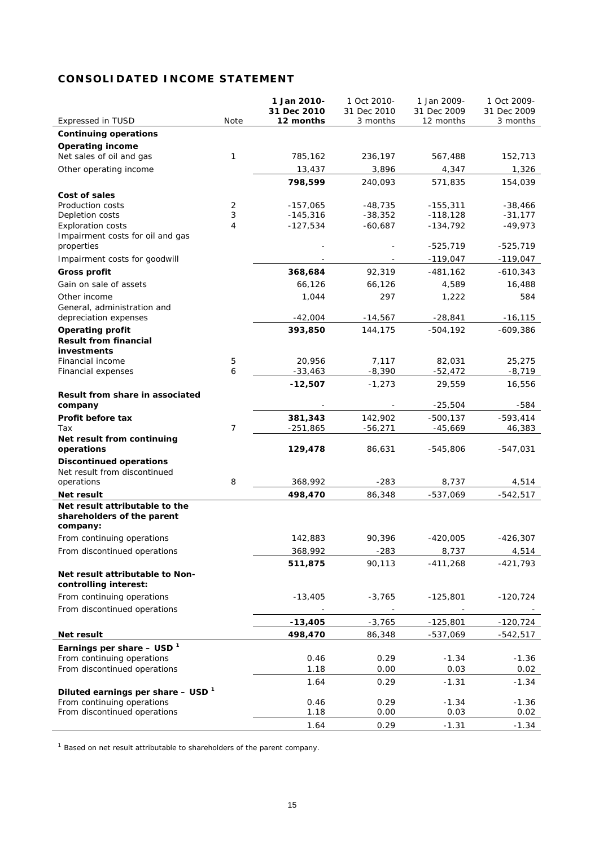## **CONSOLIDATED INCOME STATEMENT**

| <b>Expressed in TUSD</b>                                               | Note | 1 Jan 2010-<br>31 Dec 2010<br>12 months | 1 Oct 2010-<br>31 Dec 2010<br>3 months | 1 Jan 2009-<br>31 Dec 2009<br>12 months | 1 Oct 2009-<br>31 Dec 2009<br>3 months |
|------------------------------------------------------------------------|------|-----------------------------------------|----------------------------------------|-----------------------------------------|----------------------------------------|
| <b>Continuing operations</b>                                           |      |                                         |                                        |                                         |                                        |
| <b>Operating income</b>                                                |      |                                         |                                        |                                         |                                        |
| Net sales of oil and gas                                               | 1    | 785,162                                 | 236,197                                | 567,488                                 | 152,713                                |
| Other operating income                                                 |      | 13,437                                  | 3,896                                  | 4,347                                   | 1,326                                  |
|                                                                        |      | 798,599                                 | 240,093                                | 571,835                                 | 154,039                                |
| Cost of sales                                                          |      |                                         |                                        |                                         |                                        |
| Production costs                                                       | 2    | $-157,065$                              | $-48,735$                              | $-155,311$                              | $-38,466$                              |
| Depletion costs                                                        | 3    | $-145,316$                              | $-38,352$                              | $-118,128$                              | $-31,177$                              |
| <b>Exploration costs</b>                                               | 4    | $-127,534$                              | $-60,687$                              | $-134,792$                              | $-49,973$                              |
| Impairment costs for oil and gas                                       |      |                                         |                                        |                                         |                                        |
| properties                                                             |      |                                         |                                        | $-525,719$                              | $-525,719$                             |
| Impairment costs for goodwill                                          |      |                                         |                                        | $-119,047$                              | $-119,047$                             |
| <b>Gross profit</b>                                                    |      | 368,684                                 | 92,319                                 | $-481,162$                              | $-610,343$                             |
| Gain on sale of assets                                                 |      | 66,126                                  | 66,126                                 | 4,589                                   | 16,488                                 |
| Other income                                                           |      | 1,044                                   | 297                                    | 1,222                                   | 584                                    |
| General, administration and<br>depreciation expenses                   |      | $-42,004$                               | $-14,567$                              | $-28,841$                               | $-16, 115$                             |
|                                                                        |      |                                         |                                        |                                         | $-609,386$                             |
| <b>Operating profit</b><br><b>Result from financial</b><br>investments |      | 393,850                                 | 144,175                                | $-504, 192$                             |                                        |
| Financial income                                                       | 5    | 20,956                                  | 7,117                                  | 82,031                                  | 25,275                                 |
| Financial expenses                                                     | 6    | $-33,463$                               | $-8,390$                               | $-52,472$                               | $-8,719$                               |
|                                                                        |      | $-12,507$                               | $-1,273$                               | 29,559                                  | 16,556                                 |
| Result from share in associated<br>company                             |      |                                         |                                        | $-25,504$                               | -584                                   |
| Profit before tax                                                      |      | 381,343                                 | 142,902                                | $-500, 137$                             | $-593,414$                             |
| Tax                                                                    | 7    | $-251,865$                              | $-56,271$                              | $-45,669$                               | 46,383                                 |
| Net result from continuing                                             |      |                                         |                                        |                                         |                                        |
| operations                                                             |      | 129,478                                 | 86,631                                 | $-545,806$                              | -547,031                               |
| <b>Discontinued operations</b>                                         |      |                                         |                                        |                                         |                                        |
| Net result from discontinued                                           |      |                                         |                                        |                                         |                                        |
| operations                                                             | 8    | 368,992                                 | $-283$                                 | 8,737                                   | 4,514                                  |
| Net result<br>Net result attributable to the                           |      | 498,470                                 | 86,348                                 | $-537,069$                              | $-542,517$                             |
| shareholders of the parent<br>company:                                 |      |                                         |                                        |                                         |                                        |
| From continuing operations                                             |      | 142,883                                 | 90,396                                 | $-420,005$                              | -426,307                               |
| From discontinued operations                                           |      | 368,992                                 | $-283$                                 | 8,737                                   | 4,514                                  |
|                                                                        |      | 511,875                                 | 90,113                                 | $-411,268$                              | $-421,793$                             |
| Net result attributable to Non-<br>controlling interest:               |      |                                         |                                        |                                         |                                        |
| From continuing operations                                             |      | $-13,405$                               | $-3,765$                               | $-125,801$                              | $-120,724$                             |
| From discontinued operations                                           |      | $-13,405$                               | $-3,765$                               | $-125,801$                              | $-120,724$                             |
| Net result                                                             |      | 498,470                                 | 86,348                                 | $-537,069$                              | $-542,517$                             |
| Earnings per share $-$ USD <sup>1</sup>                                |      |                                         |                                        |                                         |                                        |
| From continuing operations                                             |      | 0.46                                    | 0.29                                   | $-1.34$                                 | $-1.36$                                |
| From discontinued operations                                           |      | 1.18                                    | 0.00                                   | 0.03                                    | 0.02                                   |
|                                                                        |      | 1.64                                    | 0.29                                   | $-1.31$                                 | $-1.34$                                |
| Diluted earnings per share $-$ USD $1$<br>From continuing operations   |      | 0.46                                    |                                        | $-1.34$                                 |                                        |
| From discontinued operations                                           |      | 1.18                                    | 0.29<br>0.00                           | 0.03                                    | -1.36<br>0.02                          |
|                                                                        |      | 1.64                                    | 0.29                                   | $-1.31$                                 | $-1.34$                                |

 $^1$  Based on net result attributable to shareholders of the parent company.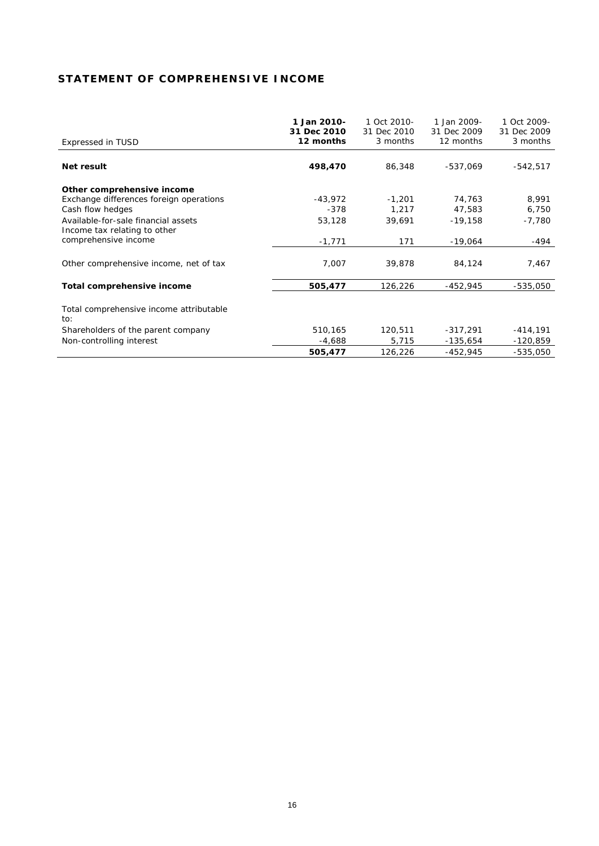## **STATEMENT OF COMPREHENSIVE INCOME**

| <b>Expressed in TUSD</b>                       | 1 Jan 2010-<br>31 Dec 2010<br>12 months | 1 Oct 2010-<br>31 Dec 2010<br>3 months | 1 Jan 2009-<br>31 Dec 2009<br>12 months | 1 Oct 2009-<br>31 Dec 2009<br>3 months |
|------------------------------------------------|-----------------------------------------|----------------------------------------|-----------------------------------------|----------------------------------------|
|                                                |                                         |                                        |                                         |                                        |
| Net result                                     | 498,470                                 | 86,348                                 | $-537,069$                              | $-542,517$                             |
| Other comprehensive income                     |                                         |                                        |                                         |                                        |
| Exchange differences foreign operations        | $-43,972$                               | $-1,201$                               | 74,763                                  | 8,991                                  |
| Cash flow hedges                               | $-378$                                  | 1,217                                  | 47,583                                  | 6,750                                  |
| Available-for-sale financial assets            | 53,128                                  | 39,691                                 | $-19,158$                               | $-7,780$                               |
| Income tax relating to other                   |                                         |                                        |                                         |                                        |
| comprehensive income                           | $-1,771$                                | 171                                    | $-19,064$                               | -494                                   |
| Other comprehensive income, net of tax         | 7,007                                   | 39,878                                 | 84,124                                  | 7,467                                  |
| Total comprehensive income                     | 505,477                                 | 126,226                                | $-452,945$                              | $-535,050$                             |
| Total comprehensive income attributable<br>to: |                                         |                                        |                                         |                                        |
| Shareholders of the parent company             | 510,165                                 | 120,511                                | -317,291                                | -414,191                               |
| Non-controlling interest                       | -4,688                                  | 5,715                                  | $-135,654$                              | $-120,859$                             |
|                                                | 505,477                                 | 126,226                                | $-452,945$                              | $-535,050$                             |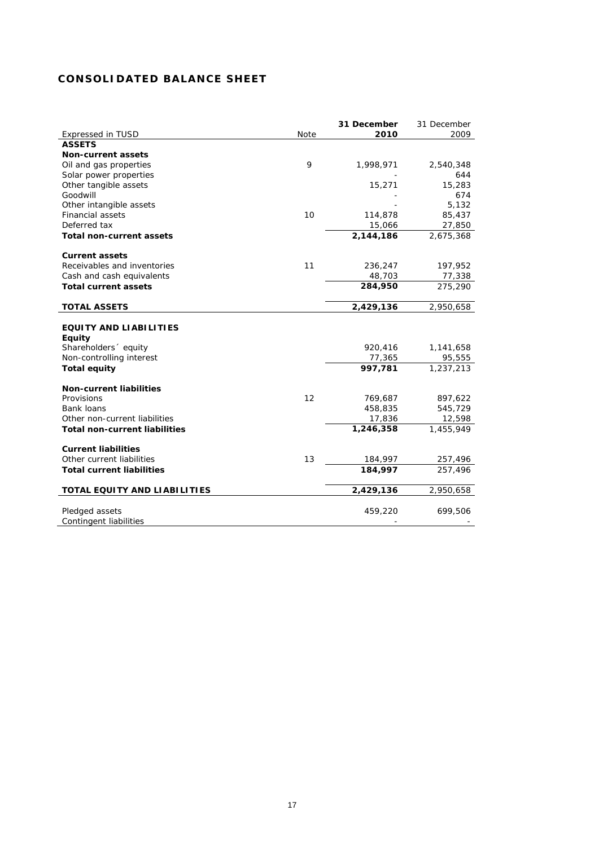## **CONSOLIDATED BALANCE SHEET**

|                                          |             | 31 December | 31 December |
|------------------------------------------|-------------|-------------|-------------|
| <b>Expressed in TUSD</b>                 | <b>Note</b> | 2010        | 2009        |
| <b>ASSETS</b>                            |             |             |             |
| <b>Non-current assets</b>                |             |             |             |
| Oil and gas properties                   | 9           | 1,998,971   | 2,540,348   |
| Solar power properties                   |             |             | 644         |
| Other tangible assets                    |             | 15,271      | 15,283      |
| Goodwill                                 |             |             | 674         |
| Other intangible assets                  |             |             | 5,132       |
| <b>Financial assets</b>                  | 10          | 114,878     | 85,437      |
| Deferred tax                             |             | 15,066      | 27,850      |
| <b>Total non-current assets</b>          |             | 2,144,186   | 2,675,368   |
| <b>Current assets</b>                    |             |             |             |
| Receivables and inventories              | 11          | 236,247     | 197,952     |
| Cash and cash equivalents                |             | 48,703      | 77,338      |
| <b>Total current assets</b>              |             | 284,950     | 275,290     |
| <b>TOTAL ASSETS</b>                      |             | 2,429,136   | 2,950,658   |
| <b>EQUITY AND LIABILITIES</b><br>Equity  |             |             |             |
| Shareholders equity                      |             | 920,416     | 1,141,658   |
| Non-controlling interest                 |             | 77,365      | 95,555      |
| <b>Total equity</b>                      |             | 997,781     | 1,237,213   |
| <b>Non-current liabilities</b>           |             |             |             |
| Provisions                               | 12          | 769,687     | 897,622     |
| Bank Ioans                               |             | 458,835     | 545,729     |
| Other non-current liabilities            |             | 17,836      | 12,598      |
| <b>Total non-current liabilities</b>     |             | 1,246,358   | 1,455,949   |
| <b>Current liabilities</b>               |             |             |             |
| Other current liabilities                | 13          | 184,997     | 257,496     |
| <b>Total current liabilities</b>         |             | 184,997     | 257,496     |
| TOTAL EQUITY AND LIABILITIES             |             | 2,429,136   | 2,950,658   |
| Pledged assets<br>Contingent liabilities |             | 459,220     | 699,506     |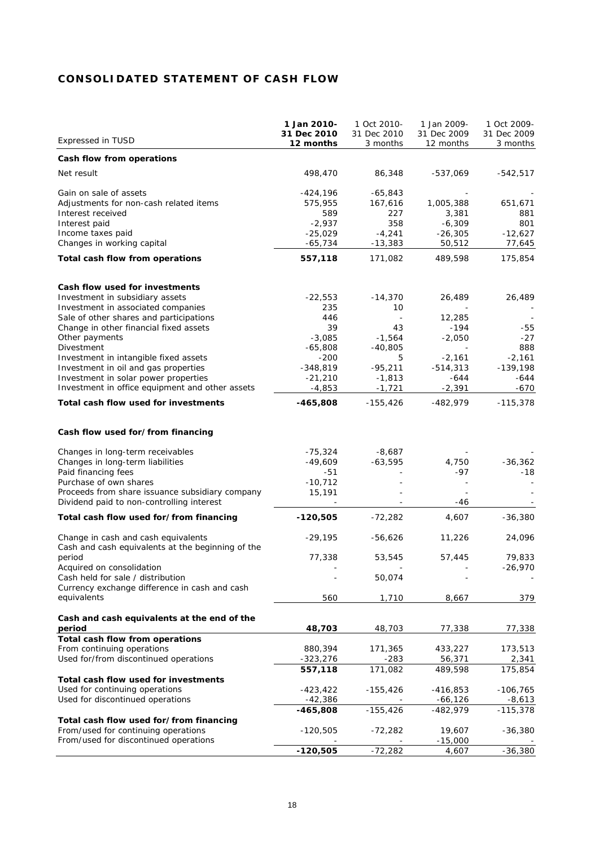## **CONSOLIDATED STATEMENT OF CASH FLOW**

| <b>Expressed in TUSD</b>                                                                 | 1 Jan 2010-<br>31 Dec 2010<br>12 months | 1 Oct 2010-<br>31 Dec 2010<br>3 months | 1 Jan 2009-<br>31 Dec 2009<br>12 months | 1 Oct 2009-<br>31 Dec 2009<br>3 months |
|------------------------------------------------------------------------------------------|-----------------------------------------|----------------------------------------|-----------------------------------------|----------------------------------------|
| Cash flow from operations                                                                |                                         |                                        |                                         |                                        |
| Net result                                                                               | 498,470                                 | 86,348                                 | $-537,069$                              | $-542,517$                             |
| Gain on sale of assets                                                                   | -424,196                                | $-65,843$                              |                                         |                                        |
| Adjustments for non-cash related items                                                   | 575,955                                 | 167,616                                | 1,005,388                               | 651,671                                |
| Interest received                                                                        | 589                                     | 227                                    | 3,381                                   | 881                                    |
| Interest paid                                                                            | $-2,937$                                | 358                                    | $-6,309$                                | 801                                    |
| Income taxes paid                                                                        | $-25,029$                               | $-4,241$                               | $-26,305$                               | -12,627                                |
| Changes in working capital                                                               | $-65,734$                               | $-13,383$                              | 50,512                                  | 77,645                                 |
| Total cash flow from operations                                                          | 557,118                                 | 171,082                                | 489,598                                 | 175,854                                |
| Cash flow used for investments                                                           |                                         |                                        |                                         |                                        |
| Investment in subsidiary assets                                                          | $-22,553$                               | $-14,370$                              | 26,489                                  | 26,489                                 |
| Investment in associated companies                                                       | 235                                     | 10                                     |                                         |                                        |
| Sale of other shares and participations                                                  | 446                                     |                                        | 12,285                                  |                                        |
| Change in other financial fixed assets                                                   | 39                                      | 43                                     | $-194$                                  | $-55$                                  |
| Other payments                                                                           | $-3,085$                                | $-1,564$                               | $-2,050$                                | -27                                    |
| Divestment                                                                               | $-65,808$                               | $-40,805$                              |                                         | 888                                    |
| Investment in intangible fixed assets                                                    | $-200$                                  | 5                                      | $-2,161$                                | $-2,161$                               |
| Investment in oil and gas properties                                                     | $-348,819$                              | $-95,211$                              | $-514,313$                              | $-139,198$                             |
| Investment in solar power properties                                                     | $-21,210$                               | $-1,813$                               | -644                                    | -644                                   |
| Investment in office equipment and other assets                                          | $-4,853$                                | $-1,721$                               | $-2,391$                                | -670                                   |
| Total cash flow used for investments                                                     | $-465,808$                              | $-155,426$                             | $-482,979$                              | $-115,378$                             |
| Cash flow used for/from financing<br>Changes in long-term receivables                    | -75,324<br>$-49,609$                    | -8,687<br>$-63,595$                    |                                         | $-36,362$                              |
| Changes in long-term liabilities<br>Paid financing fees                                  | -51                                     |                                        | 4,750<br>-97                            | -18                                    |
| Purchase of own shares                                                                   | $-10,712$                               |                                        |                                         |                                        |
| Proceeds from share issuance subsidiary company                                          | 15,191                                  |                                        |                                         |                                        |
| Dividend paid to non-controlling interest                                                |                                         |                                        | -46                                     |                                        |
| Total cash flow used for/from financing                                                  | -120,505                                | $-72,282$                              | 4,607                                   | $-36,380$                              |
| Change in cash and cash equivalents<br>Cash and cash equivalents at the beginning of the | $-29,195$                               | $-56,626$                              | 11,226                                  | 24,096                                 |
| period<br>Acquired on consolidation                                                      | 77,338                                  | 53,545                                 | 57,445                                  | 79,833<br>$-26,970$                    |
| Cash held for sale / distribution<br>Currency exchange difference in cash and cash       |                                         | 50,074                                 |                                         |                                        |
| equivalents                                                                              | 560                                     | 1,710                                  | 8,667                                   | 379                                    |
| Cash and cash equivalents at the end of the                                              |                                         |                                        |                                         |                                        |
| period                                                                                   | 48,703                                  | 48,703                                 | 77,338                                  | 77,338                                 |
| Total cash flow from operations                                                          |                                         |                                        |                                         |                                        |
| From continuing operations                                                               | 880,394                                 | 171,365                                | 433,227                                 | 173,513                                |
| Used for/from discontinued operations                                                    | $-323,276$                              | -283                                   | 56,371                                  | 2,341                                  |
|                                                                                          | 557,118                                 | 171,082                                | 489,598                                 | 175,854                                |
| Total cash flow used for investments                                                     |                                         |                                        |                                         |                                        |
| Used for continuing operations                                                           | -423,422                                | $-155,426$                             | $-416,853$                              | $-106,765$                             |
| Used for discontinued operations                                                         | -42,386                                 |                                        | $-66, 126$                              | $-8,613$                               |
|                                                                                          | $-465,808$                              | $-155,426$                             | $-482,979$                              | $-115,378$                             |
| Total cash flow used for/from financing                                                  |                                         |                                        |                                         |                                        |
| From/used for continuing operations                                                      | $-120,505$                              | $-72,282$                              | 19,607                                  | $-36,380$                              |
| From/used for discontinued operations                                                    |                                         |                                        | $-15,000$                               |                                        |
|                                                                                          | $-120,505$                              | $-72,282$                              | 4,607                                   | $-36,380$                              |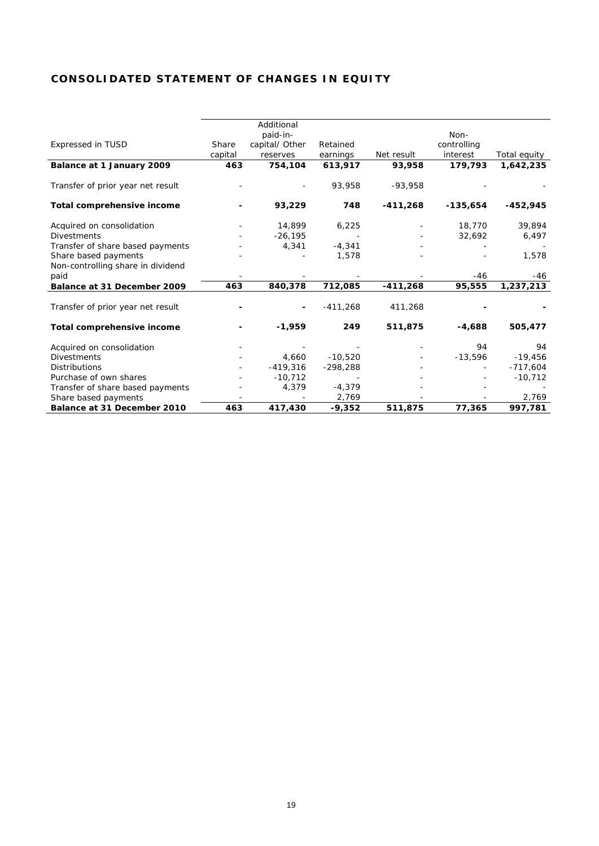## **CONSOLIDATED STATEMENT OF CHANGES IN EQUITY**

|                                   |         | Additional     |            |            |             |              |
|-----------------------------------|---------|----------------|------------|------------|-------------|--------------|
|                                   |         | paid-in-       |            |            | Non-        |              |
| <b>Expressed in TUSD</b>          | Share   | capital/ Other | Retained   |            | controlling |              |
|                                   | capital | reserves       | earnings   | Net result | interest    | Total equity |
| Balance at 1 January 2009         | 463     | 754,104        | 613,917    | 93,958     | 179,793     | 1,642,235    |
| Transfer of prior year net result |         |                | 93,958     | $-93,958$  |             |              |
| Total comprehensive income        |         | 93,229         | 748        | $-411,268$ | $-135,654$  | $-452,945$   |
| Acquired on consolidation         |         | 14,899         | 6,225      |            | 18,770      | 39,894       |
| <b>Divestments</b>                |         | $-26,195$      |            |            | 32,692      | 6,497        |
| Transfer of share based payments  |         | 4,341          | $-4,341$   |            |             |              |
| Share based payments              |         |                | 1,578      |            |             | 1,578        |
| Non-controlling share in dividend |         |                |            |            |             |              |
| paid                              |         |                |            |            | -46         | -46          |
| Balance at 31 December 2009       | 463     | 840,378        | 712,085    | $-411,268$ | 95,555      | 1,237,213    |
| Transfer of prior year net result |         |                | $-411,268$ | 411,268    |             |              |
| Total comprehensive income        |         | $-1,959$       | 249        | 511,875    | $-4,688$    | 505,477      |
| Acquired on consolidation         |         |                |            |            | 94          | 94           |
| <b>Divestments</b>                |         | 4,660          | $-10,520$  |            | $-13,596$   | $-19,456$    |
| <b>Distributions</b>              |         | $-419,316$     | $-298,288$ |            |             | $-717,604$   |
| Purchase of own shares            |         | $-10,712$      |            |            |             | $-10,712$    |
| Transfer of share based payments  |         | 4,379          | $-4,379$   |            |             |              |
| Share based payments              |         |                | 2,769      |            |             | 2,769        |
| Balance at 31 December 2010       | 463     | 417,430        | $-9,352$   | 511,875    | 77,365      | 997,781      |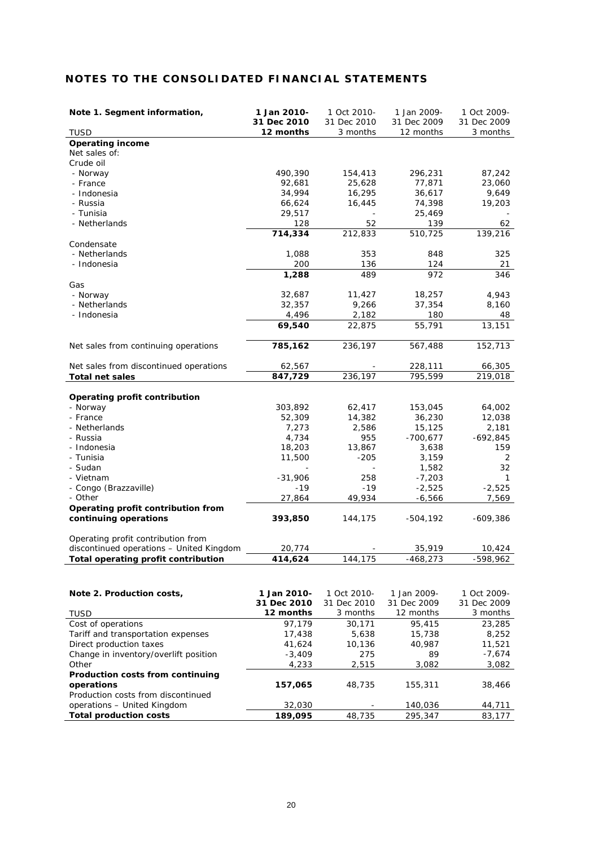| Note 1. Segment information,             | 1 Jan 2010-<br>31 Dec 2010 | 1 Oct 2010-<br>31 Dec 2010 | 1 Jan 2009-<br>31 Dec 2009 | 1 Oct 2009-<br>31 Dec 2009 |
|------------------------------------------|----------------------------|----------------------------|----------------------------|----------------------------|
| <b>TUSD</b>                              | 12 months                  | 3 months                   | 12 months                  | 3 months                   |
| <b>Operating income</b>                  |                            |                            |                            |                            |
| Net sales of:                            |                            |                            |                            |                            |
| Crude oil                                |                            |                            |                            |                            |
| - Norway                                 | 490,390                    | 154,413                    | 296,231                    | 87,242                     |
| - France                                 | 92,681                     | 25,628                     | 77,871                     | 23,060                     |
| - Indonesia                              | 34,994                     | 16,295                     | 36,617                     | 9,649                      |
| - Russia                                 | 66,624                     | 16,445                     | 74,398                     | 19,203                     |
| - Tunisia                                | 29,517                     |                            | 25,469                     |                            |
| - Netherlands                            | 128                        | 52                         | 139                        | 62                         |
|                                          | 714,334                    | 212,833                    | 510,725                    | 139,216                    |
| Condensate                               |                            |                            |                            |                            |
| - Netherlands                            | 1,088                      | 353                        | 848                        | 325                        |
| - Indonesia                              | 200                        | 136                        | 124                        | 21                         |
|                                          | 1,288                      | 489                        | 972                        | 346                        |
| Gas                                      |                            |                            |                            |                            |
| - Norway                                 | 32,687                     | 11,427                     | 18,257                     | 4,943                      |
| - Netherlands                            | 32,357                     | 9,266                      | 37,354                     | 8,160                      |
| - Indonesia                              | 4,496                      | 2,182                      | 180                        | 48                         |
|                                          | 69,540                     | 22,875                     | 55,791                     | 13,151                     |
| Net sales from continuing operations     | 785,162                    | 236,197                    | 567,488                    | 152,713                    |
| Net sales from discontinued operations   | 62,567                     |                            | 228,111                    | 66,305                     |
| <b>Total net sales</b>                   | 847,729                    | 236,197                    | 795,599                    | 219,018                    |
|                                          |                            |                            |                            |                            |
| Operating profit contribution            |                            |                            |                            |                            |
| - Norway                                 | 303,892                    | 62,417                     | 153,045                    | 64,002                     |
| - France                                 | 52,309                     | 14,382                     | 36,230                     | 12,038                     |
| - Netherlands                            | 7,273                      | 2,586                      | 15,125                     | 2,181                      |
| - Russia                                 | 4,734                      | 955                        | $-700,677$                 | -692,845                   |
| - Indonesia                              | 18,203                     | 13,867                     | 3,638                      | 159                        |
| - Tunisia                                | 11,500                     | $-205$                     | 3,159                      | 2                          |
| - Sudan                                  |                            |                            | 1,582                      | 32                         |
| - Vietnam                                | $-31,906$                  | 258                        | $-7,203$                   | 1                          |
| - Congo (Brazzaville)                    | $-19$                      | $-19$                      | $-2,525$                   | $-2,525$                   |
| - Other                                  | 27,864                     | 49,934                     | $-6,566$                   | 7,569                      |
| Operating profit contribution from       |                            |                            |                            |                            |
| continuing operations                    | 393,850                    | 144,175                    | $-504, 192$                | $-609,386$                 |
| Operating profit contribution from       |                            |                            |                            |                            |
| discontinued operations - United Kingdom | 20,774                     |                            | 35,919                     | 10,424                     |
| Total operating profit contribution      | 414,624                    | 144,175                    | $-468,273$                 | $-598,962$                 |
|                                          |                            |                            |                            |                            |

## **NOTES TO THE CONSOLIDATED FINANCIAL STATEMENTS**

| Note 2. Production costs,             | 1 Jan 2010- | 1 Oct 2010- | 1 Jan 2009- | 1 Oct 2009- |
|---------------------------------------|-------------|-------------|-------------|-------------|
|                                       | 31 Dec 2010 | 31 Dec 2010 | 31 Dec 2009 | 31 Dec 2009 |
| <b>TUSD</b>                           | 12 months   | 3 months    | 12 months   | 3 months    |
| Cost of operations                    | 97.179      | 30.171      | 95,415      | 23,285      |
| Tariff and transportation expenses    | 17,438      | 5.638       | 15,738      | 8,252       |
| Direct production taxes               | 41.624      | 10.136      | 40.987      | 11,521      |
| Change in inventory/overlift position | $-3.409$    | 275         | 89          | -7,674      |
| Other                                 | 4.233       | 2.515       | 3.082       | 3,082       |
| Production costs from continuing      |             |             |             |             |
| operations                            | 157.065     | 48,735      | 155,311     | 38,466      |
| Production costs from discontinued    |             |             |             |             |
| operations - United Kingdom           | 32,030      |             | 140.036     | 44,711      |
| <b>Total production costs</b>         | 189,095     | 48,735      | 295.347     | 83,177      |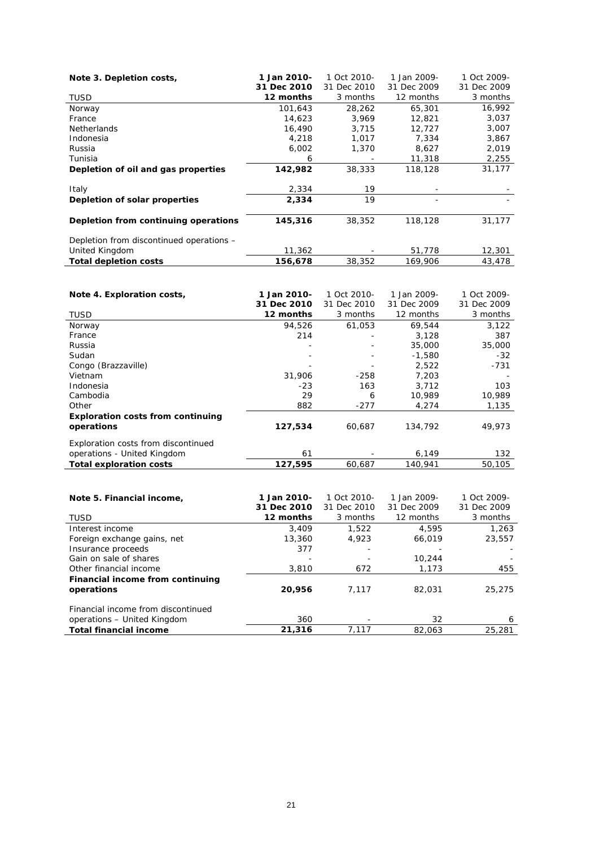| Note 3. Depletion costs,                 | 1 Jan 2010- | 1 Oct 2010- | 1 Jan 2009- | 1 Oct 2009- |
|------------------------------------------|-------------|-------------|-------------|-------------|
|                                          | 31 Dec 2010 | 31 Dec 2010 | 31 Dec 2009 | 31 Dec 2009 |
| <b>TUSD</b>                              | 12 months   | 3 months    | 12 months   | 3 months    |
| Norway                                   | 101,643     | 28,262      | 65,301      | 16,992      |
| France                                   | 14,623      | 3,969       | 12,821      | 3,037       |
| <b>Netherlands</b>                       | 16,490      | 3,715       | 12,727      | 3,007       |
| Indonesia                                | 4,218       | 1,017       | 7.334       | 3,867       |
| Russia                                   | 6,002       | 1,370       | 8,627       | 2,019       |
| Tunisia                                  | 6           |             | 11,318      | 2,255       |
| Depletion of oil and gas properties      | 142,982     | 38,333      | 118,128     | 31,177      |
| Italy                                    | 2,334       | 19          |             |             |
| Depletion of solar properties            | 2,334       | 19          |             |             |
| Depletion from continuing operations     | 145,316     | 38,352      | 118,128     | 31,177      |
| Depletion from discontinued operations - |             |             |             |             |
| United Kingdom                           | 11,362      |             | 51,778      | 12,301      |
| <b>Total depletion costs</b>             | 156,678     | 38,352      | 169,906     | 43,478      |

| Note 4. Exploration costs,               | 1 Jan 2010-<br>31 Dec 2010 | 1 Oct 2010-<br>31 Dec 2010 | 1 Jan 2009-<br>31 Dec 2009 | 1 Oct 2009-<br>31 Dec 2009 |
|------------------------------------------|----------------------------|----------------------------|----------------------------|----------------------------|
| <b>TUSD</b>                              | 12 months                  | 3 months                   | 12 months                  | 3 months                   |
| Norway                                   | 94.526                     | 61,053                     | 69.544                     | 3.122                      |
| France                                   | 214                        |                            | 3.128                      | 387                        |
| Russia                                   |                            |                            | 35,000                     | 35,000                     |
| Sudan                                    | -                          |                            | $-1,580$                   | $-32$                      |
| Congo (Brazzaville)                      | -                          | -                          | 2,522                      | -731                       |
| Vietnam                                  | 31,906                     | $-258$                     | 7,203                      |                            |
| Indonesia                                | $-23$                      | 163                        | 3,712                      | 103                        |
| Cambodia                                 | 29                         | 6                          | 10,989                     | 10,989                     |
| Other                                    | 882                        | $-277$                     | 4,274                      | 1,135                      |
| <b>Exploration costs from continuing</b> |                            |                            |                            |                            |
| operations                               | 127,534                    | 60,687                     | 134,792                    | 49,973                     |
| Exploration costs from discontinued      |                            |                            |                            |                            |
| operations - United Kingdom              | 61                         |                            | 6,149                      | 132                        |
| <b>Total exploration costs</b>           | 127,595                    | 60.687                     | 140,941                    | 50,105                     |

| Note 5. Financial income,                                         | 1 Jan 2010-<br>31 Dec 2010 | 1 Oct 2010-<br>31 Dec 2010 | 1 Jan 2009-<br>31 Dec 2009 | 1 Oct 2009-<br>31 Dec 2009 |
|-------------------------------------------------------------------|----------------------------|----------------------------|----------------------------|----------------------------|
| TUSD                                                              | 12 months                  | 3 months                   | 12 months                  | 3 months                   |
| Interest income                                                   | 3,409                      | 1.522                      | 4.595                      | 1.263                      |
| Foreign exchange gains, net                                       | 13,360                     | 4.923                      | 66,019                     | 23,557                     |
| Insurance proceeds                                                | 377                        | -                          |                            |                            |
| Gain on sale of shares                                            |                            |                            | 10,244                     |                            |
| Other financial income                                            | 3,810                      | 672                        | 1.173                      | 455                        |
| Financial income from continuing<br>operations                    | 20,956                     | 7.117                      | 82,031                     | 25,275                     |
| Financial income from discontinued<br>operations - United Kingdom | 360                        |                            | 32                         | 6                          |
| <b>Total financial income</b>                                     | 21,316                     | 7.117                      | 82.063                     | 25,281                     |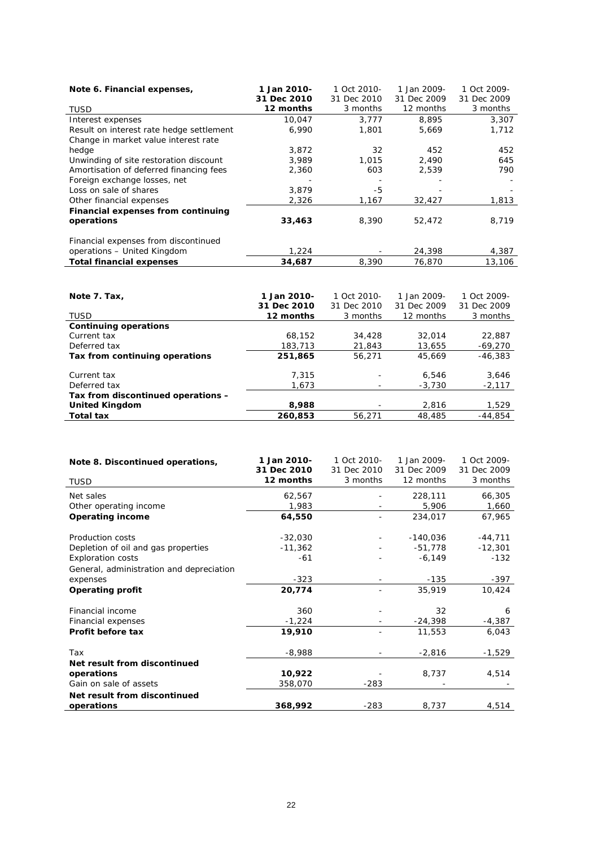| Note 6. Financial expenses,              | 1 Jan 2010- | 1 Oct 2010- | 1 Jan 2009- | 1 Oct 2009- |
|------------------------------------------|-------------|-------------|-------------|-------------|
|                                          | 31 Dec 2010 | 31 Dec 2010 | 31 Dec 2009 | 31 Dec 2009 |
| TUSD                                     | 12 months   | 3 months    | 12 months   | 3 months    |
| Interest expenses                        | 10,047      | 3,777       | 8,895       | 3,307       |
| Result on interest rate hedge settlement | 6,990       | 1,801       | 5,669       | 1,712       |
| Change in market value interest rate     |             |             |             |             |
| hedge                                    | 3,872       | 32          | 452         | 452         |
| Unwinding of site restoration discount   | 3,989       | 1,015       | 2,490       | 645         |
| Amortisation of deferred financing fees  | 2,360       | 603         | 2.539       | 790         |
| Foreign exchange losses, net             |             |             |             |             |
| Loss on sale of shares                   | 3,879       | -5          |             |             |
| Other financial expenses                 | 2,326       | 1,167       | 32,427      | 1,813       |
| Financial expenses from continuing       |             |             |             |             |
| operations                               | 33,463      | 8,390       | 52,472      | 8,719       |
| Financial expenses from discontinued     |             |             |             |             |
| operations - United Kingdom              | 1,224       |             | 24,398      | 4,387       |
| <b>Total financial expenses</b>          | 34,687      | 8,390       | 76,870      | 13,106      |

| Note 7. Tax,                       | 1 Jan 2010- | 1 Oct 2010-              | 1 Jan 2009- | 1 Oct 2009- |
|------------------------------------|-------------|--------------------------|-------------|-------------|
|                                    | 31 Dec 2010 | 31 Dec 2010              | 31 Dec 2009 | 31 Dec 2009 |
| TUSD                               | 12 months   | 3 months                 | 12 months   | 3 months    |
| <b>Continuing operations</b>       |             |                          |             |             |
| Current tax                        | 68,152      | 34,428                   | 32.014      | 22,887      |
| Deferred tax                       | 183,713     | 21,843                   | 13,655      | $-69.270$   |
| Tax from continuing operations     | 251,865     | 56,271                   | 45,669      | $-46.383$   |
| Current tax                        | 7.315       | $\overline{\phantom{a}}$ | 6,546       | 3,646       |
| Deferred tax                       | 1.673       | $\overline{\phantom{a}}$ | $-3.730$    | $-2,117$    |
| Tax from discontinued operations - |             |                          |             |             |
| <b>United Kingdom</b>              | 8,988       | $\overline{\phantom{0}}$ | 2.816       | 1,529       |
| <b>Total tax</b>                   | 260.853     | 56,271                   | 48,485      | $-44.854$   |

| Note 8. Discontinued operations,         | 1 Jan 2010- | 1 Oct 2010- | 1 Jan 2009- | 1 Oct 2009- |
|------------------------------------------|-------------|-------------|-------------|-------------|
|                                          | 31 Dec 2010 | 31 Dec 2010 | 31 Dec 2009 | 31 Dec 2009 |
| TUSD                                     | 12 months   | 3 months    | 12 months   | 3 months    |
| Net sales                                | 62,567      |             | 228,111     | 66,305      |
| Other operating income                   | 1,983       |             | 5,906       | 1,660       |
| <b>Operating income</b>                  | 64,550      |             | 234,017     | 67,965      |
| Production costs                         | $-32,030$   |             | $-140,036$  | $-44,711$   |
| Depletion of oil and gas properties      | $-11,362$   |             | $-51,778$   | $-12,301$   |
| <b>Exploration costs</b>                 | $-61$       |             | $-6,149$    | $-132$      |
| General, administration and depreciation |             |             |             |             |
| expenses                                 | $-323$      |             | $-135$      | -397        |
| <b>Operating profit</b>                  | 20,774      |             | 35,919      | 10,424      |
| Financial income                         | 360         |             | 32          | 6           |
| Financial expenses                       | $-1,224$    |             | $-24,398$   | $-4,387$    |
| Profit before tax                        | 19,910      |             | 11,553      | 6,043       |
| Tax                                      | $-8,988$    |             | $-2,816$    | $-1,529$    |
| Net result from discontinued             |             |             |             |             |
| operations                               | 10,922      |             | 8,737       | 4,514       |
| Gain on sale of assets                   | 358,070     | $-283$      |             |             |
| Net result from discontinued             |             |             |             |             |
| operations                               | 368,992     | $-283$      | 8,737       | 4,514       |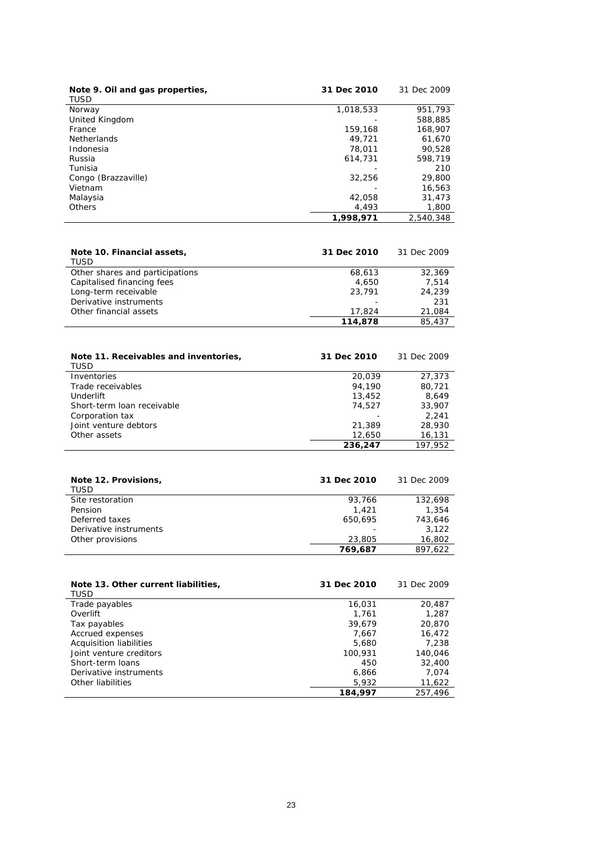| Note 9. Oil and gas properties,<br>TUSD | 31 Dec 2010 | 31 Dec 2009 |
|-----------------------------------------|-------------|-------------|
| Norway                                  | 1,018,533   | 951,793     |
| United Kingdom                          |             | 588,885     |
| France                                  | 159,168     | 168,907     |
| <b>Netherlands</b>                      | 49.721      | 61,670      |
| Indonesia                               | 78,011      | 90.528      |
| Russia                                  | 614,731     | 598,719     |
| Tunisia                                 |             | 210         |
| Congo (Brazzaville)                     | 32,256      | 29,800      |
| Vietnam                                 |             | 16,563      |
| Malaysia                                | 42,058      | 31,473      |
| <b>Others</b>                           | 4.493       | 1,800       |
|                                         | 1,998,971   | 2,540,348   |

| Note 10. Financial assets,      | 31 Dec 2010 | 31 Dec 2009 |
|---------------------------------|-------------|-------------|
| TUSD                            |             |             |
| Other shares and participations | 68,613      | 32,369      |
| Capitalised financing fees      | 4,650       | 7.514       |
| Long-term receivable            | 23,791      | 24,239      |
| Derivative instruments          |             | 231         |
| Other financial assets          | 17,824      | 21,084      |
|                                 | 114,878     | 85,437      |

| Note 11. Receivables and inventories.<br><b>TUSD</b> | 31 Dec 2010 | 31 Dec 2009 |
|------------------------------------------------------|-------------|-------------|
| Inventories                                          | 20,039      | 27,373      |
| Trade receivables                                    | 94,190      | 80,721      |
| Underlift                                            | 13,452      | 8.649       |
| Short-term loan receivable                           | 74.527      | 33,907      |
| Corporation tax                                      |             | 2.241       |
| Joint venture debtors                                | 21,389      | 28,930      |
| Other assets                                         | 12,650      | 16,131      |
|                                                      | 236.247     | 197.952     |

| Note 12. Provisions,<br>TUSD | 31 Dec 2010 | 31 Dec 2009 |
|------------------------------|-------------|-------------|
| Site restoration             | 93.766      | 132,698     |
| Pension                      | 1,421       | 1.354       |
| Deferred taxes               | 650.695     | 743,646     |
| Derivative instruments       |             | 3.122       |
| Other provisions             | 23,805      | 16,802      |
|                              | 769,687     | 897.622     |

| Note 13. Other current liabilities,<br>TUSD | 31 Dec 2010 | 31 Dec 2009 |
|---------------------------------------------|-------------|-------------|
| Trade payables                              | 16,031      | 20,487      |
| Overlift                                    | 1,761       | 1,287       |
| Tax payables                                | 39,679      | 20,870      |
| Accrued expenses                            | 7,667       | 16,472      |
| Acquisition liabilities                     | 5,680       | 7,238       |
| Joint venture creditors                     | 100,931     | 140,046     |
| Short-term loans                            | 450         | 32,400      |
| Derivative instruments                      | 6,866       | 7.074       |
| Other liabilities                           | 5,932       | 11,622      |
|                                             | 184,997     | 257.496     |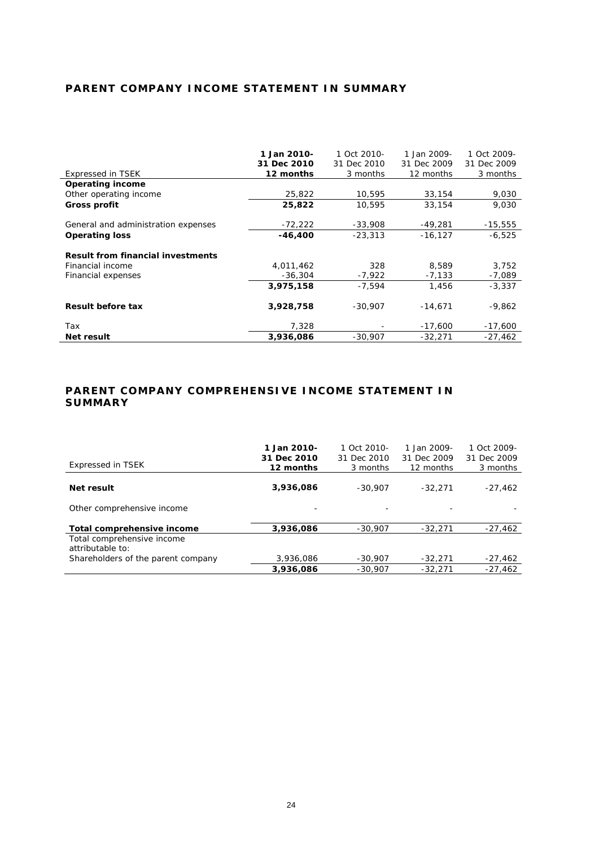## **PARENT COMPANY INCOME STATEMENT IN SUMMARY**

|                                          | 1 Jan 2010- | 1 Oct 2010- | 1 Jan 2009- | 1 Oct 2009- |
|------------------------------------------|-------------|-------------|-------------|-------------|
|                                          | 31 Dec 2010 | 31 Dec 2010 | 31 Dec 2009 | 31 Dec 2009 |
| Expressed in TSEK                        | 12 months   | 3 months    | 12 months   | 3 months    |
| <b>Operating income</b>                  |             |             |             |             |
| Other operating income                   | 25,822      | 10,595      | 33,154      | 9,030       |
| <b>Gross profit</b>                      | 25,822      | 10,595      | 33,154      | 9.030       |
| General and administration expenses      | -72,222     | $-33,908$   | -49,281     | $-15,555$   |
| <b>Operating loss</b>                    | $-46,400$   | $-23,313$   | $-16, 127$  | $-6,525$    |
| <b>Result from financial investments</b> |             |             |             |             |
| Financial income                         | 4,011,462   | 328         | 8,589       | 3,752       |
| Financial expenses                       | $-36.304$   | -7,922      | -7,133      | -7,089      |
|                                          | 3,975,158   | $-7,594$    | 1,456       | $-3,337$    |
|                                          |             |             |             |             |
| Result before tax                        | 3,928,758   | $-30,907$   | $-14,671$   | $-9,862$    |
| Tax                                      | 7,328       |             | $-17,600$   | $-17,600$   |
| Net result                               | 3,936,086   | $-30,907$   | $-32,271$   | $-27,462$   |

## **PARENT COMPANY COMPREHENSIVE INCOME STATEMENT IN SUMMARY**

| Expressed in TSEK                              | 1 Jan 2010-<br>31 Dec 2010<br>12 months | 1 Oct 2010-<br>31 Dec 2010<br>3 months | 1 Jan 2009-<br>31 Dec 2009<br>12 months | 1 Oct 2009-<br>31 Dec 2009<br>3 months |
|------------------------------------------------|-----------------------------------------|----------------------------------------|-----------------------------------------|----------------------------------------|
| Net result                                     | 3,936,086                               | $-30.907$                              | $-32.271$                               | $-27,462$                              |
| Other comprehensive income                     |                                         |                                        |                                         |                                        |
| Total comprehensive income                     | 3,936,086                               | $-30,907$                              | $-32,271$                               | $-27,462$                              |
| Total comprehensive income<br>attributable to: |                                         |                                        |                                         |                                        |
| Shareholders of the parent company             | 3,936,086                               | $-30,907$                              | $-32.271$                               | -27,462                                |
|                                                | 3,936,086                               | $-30.907$                              | $-32.271$                               | $-27.462$                              |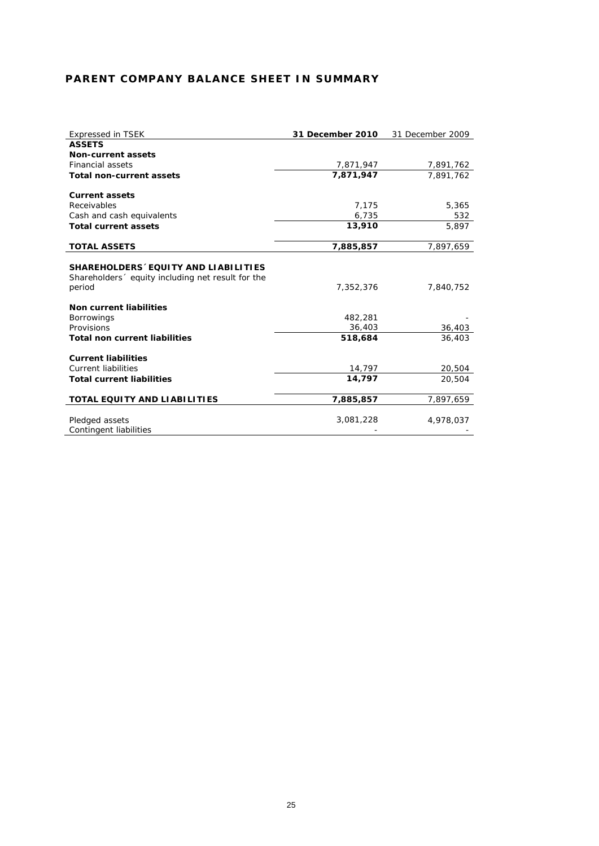## **PARENT COMPANY BALANCE SHEET IN SUMMARY**

| <b>Expressed in TSEK</b>                          | 31 December 2010 | 31 December 2009 |
|---------------------------------------------------|------------------|------------------|
| <b>ASSETS</b>                                     |                  |                  |
| <b>Non-current assets</b>                         |                  |                  |
| <b>Financial assets</b>                           | 7,871,947        | 7,891,762        |
| <b>Total non-current assets</b>                   | 7.871.947        | 7,891,762        |
| <b>Current assets</b>                             |                  |                  |
| Receivables                                       | 7,175            | 5,365            |
| Cash and cash equivalents                         | 6,735            | 532              |
| <b>Total current assets</b>                       | 13,910           | 5,897            |
|                                                   |                  |                  |
| <b>TOTAL ASSETS</b>                               | 7,885,857        | 7,897,659        |
|                                                   |                  |                  |
| SHAREHOLDERS EQUITY AND LIABILITIES               |                  |                  |
| Shareholders  equity including net result for the |                  |                  |
| period                                            | 7,352,376        | 7,840,752        |
| Non current liabilities                           |                  |                  |
| <b>Borrowings</b>                                 | 482,281          |                  |
| Provisions                                        | 36,403           | 36,403           |
| <b>Total non current liabilities</b>              | 518,684          | 36,403           |
|                                                   |                  |                  |
| <b>Current liabilities</b>                        |                  |                  |
| <b>Current liabilities</b>                        | 14,797           | 20,504           |
| <b>Total current liabilities</b>                  | 14,797           | 20,504           |
|                                                   |                  |                  |
| TOTAL EQUITY AND LIABILITIES                      | 7,885,857        | 7,897,659        |
|                                                   |                  |                  |
| Pledged assets                                    | 3,081,228        | 4,978,037        |
| Contingent liabilities                            |                  |                  |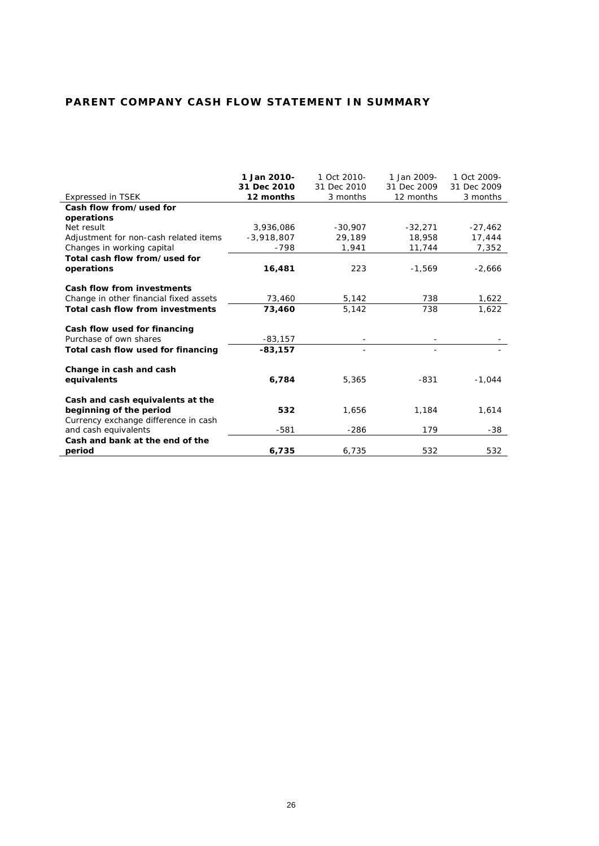## **PARENT COMPANY CASH FLOW STATEMENT IN SUMMARY**

|                                        | 1 Jan 2010-  | 1 Oct 2010- | 1 Jan 2009- | 1 Oct 2009- |
|----------------------------------------|--------------|-------------|-------------|-------------|
|                                        | 31 Dec 2010  | 31 Dec 2010 | 31 Dec 2009 | 31 Dec 2009 |
| <b>Expressed in TSEK</b>               | 12 months    | 3 months    | 12 months   | 3 months    |
| Cash flow from/used for                |              |             |             |             |
| operations                             |              |             |             |             |
| Net result                             | 3,936,086    | $-30,907$   | $-32,271$   | $-27,462$   |
| Adjustment for non-cash related items  | $-3.918.807$ | 29,189      | 18,958      | 17,444      |
| Changes in working capital             | $-798$       | 1,941       | 11,744      | 7,352       |
| Total cash flow from/used for          |              |             |             |             |
| operations                             | 16,481       | 223         | $-1,569$    | $-2,666$    |
| Cash flow from investments             |              |             |             |             |
| Change in other financial fixed assets | 73,460       | 5,142       | 738         | 1,622       |
| Total cash flow from investments       | 73,460       | 5,142       | 738         | 1,622       |
| Cash flow used for financing           |              |             |             |             |
| Purchase of own shares                 | $-83,157$    |             |             |             |
| Total cash flow used for financing     | $-83,157$    |             |             |             |
| Change in cash and cash                |              |             |             |             |
| equivalents                            | 6,784        | 5,365       | $-831$      | $-1,044$    |
| Cash and cash equivalents at the       |              |             |             |             |
| beginning of the period                | 532          | 1,656       | 1,184       | 1,614       |
| Currency exchange difference in cash   |              |             |             |             |
| and cash equivalents                   | $-581$       | $-286$      | 179         | -38         |
| Cash and bank at the end of the        |              |             |             |             |
| period                                 | 6,735        | 6,735       | 532         | 532         |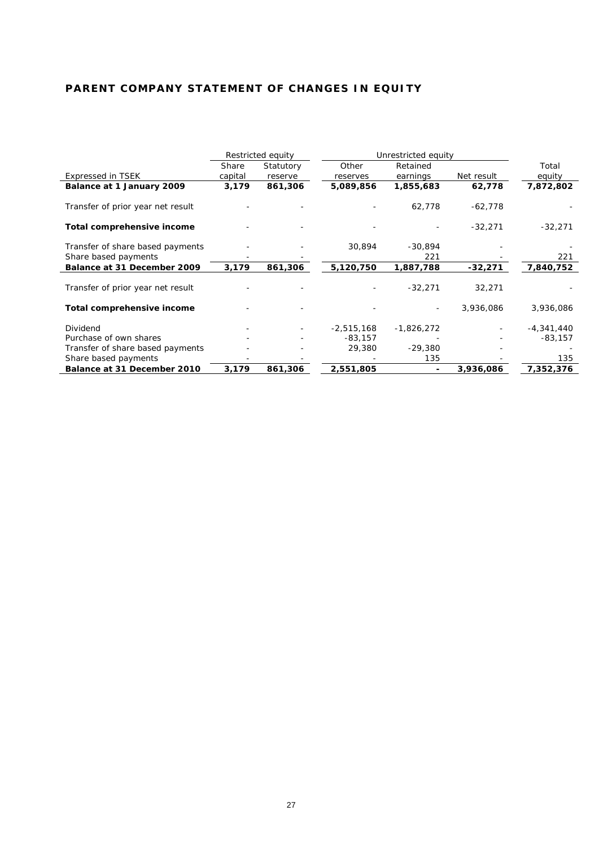## **PARENT COMPANY STATEMENT OF CHANGES IN EQUITY**

|                                   | Restricted equity |           | Unrestricted equity |                          |            |              |
|-----------------------------------|-------------------|-----------|---------------------|--------------------------|------------|--------------|
|                                   | Share             | Statutory | Other               | Retained                 |            | Total        |
| Expressed in TSEK                 | capital           | reserve   | reserves            | earnings                 | Net result | equity       |
| Balance at 1 January 2009         | 3,179             | 861,306   | 5,089,856           | 1,855,683                | 62,778     | 7,872,802    |
| Transfer of prior year net result |                   |           |                     | 62,778                   | $-62,778$  |              |
| Total comprehensive income        |                   |           |                     |                          | $-32,271$  | $-32,271$    |
| Transfer of share based payments  |                   |           | 30,894              | $-30,894$                |            |              |
| Share based payments              |                   |           |                     | 221                      |            | 221          |
| Balance at 31 December 2009       | 3,179             | 861,306   | 5,120,750           | 1,887,788                | $-32,271$  | 7,840,752    |
| Transfer of prior year net result |                   |           |                     | $-32,271$                | 32,271     |              |
| Total comprehensive income        |                   |           |                     | $\overline{\phantom{a}}$ | 3,936,086  | 3,936,086    |
| Dividend                          |                   |           | $-2,515,168$        | $-1,826,272$             |            | $-4,341,440$ |
| Purchase of own shares            |                   |           | $-83,157$           |                          |            | $-83,157$    |
| Transfer of share based payments  |                   |           | 29,380              | $-29,380$                |            |              |
| Share based payments              |                   |           |                     | 135                      |            | 135          |
| Balance at 31 December 2010       | 3,179             | 861,306   | 2,551,805           | $\blacksquare$           | 3,936,086  | 7,352,376    |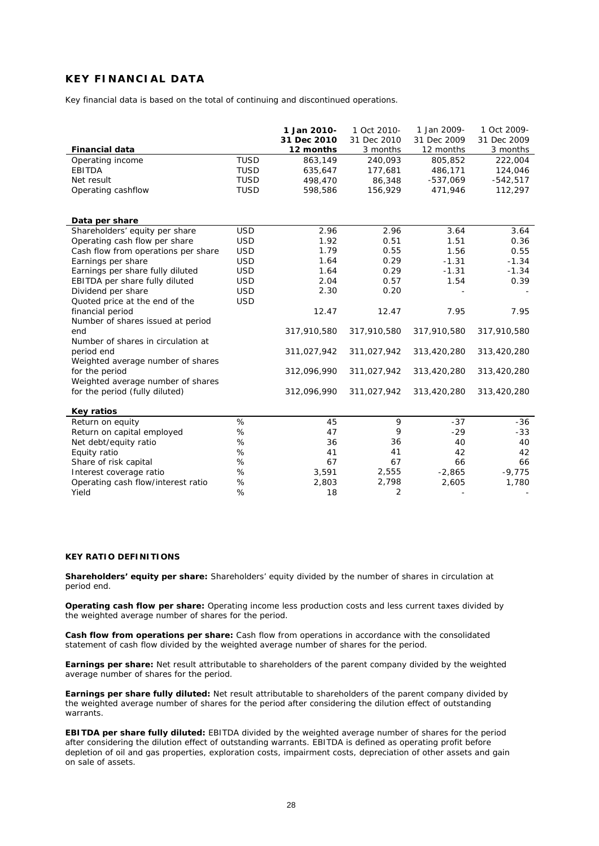## **KEY FINANCIAL DATA**

Key financial data is based on the total of continuing and discontinued operations.

|                                     |             | 1 Jan 2010-<br>31 Dec 2010 | 1 Oct 2010-<br>31 Dec 2010 | 1 Jan 2009-<br>31 Dec 2009 | 1 Oct 2009-<br>31 Dec 2009 |
|-------------------------------------|-------------|----------------------------|----------------------------|----------------------------|----------------------------|
| <b>Financial data</b>               |             | 12 months                  | 3 months                   | 12 months                  | 3 months                   |
| Operating income                    | <b>TUSD</b> | 863,149                    | 240,093                    | 805,852                    | 222,004                    |
| EBITDA                              | <b>TUSD</b> | 635,647                    | 177,681                    | 486,171                    | 124,046                    |
| Net result                          | <b>TUSD</b> | 498,470                    | 86,348                     | $-537,069$                 | $-542,517$                 |
| Operating cashflow                  | <b>TUSD</b> | 598,586                    | 156,929                    | 471,946                    | 112,297                    |
|                                     |             |                            |                            |                            |                            |
| Data per share                      |             |                            |                            |                            |                            |
| Shareholders' equity per share      | <b>USD</b>  | 2.96                       | 2.96                       | 3.64                       | 3.64                       |
| Operating cash flow per share       | <b>USD</b>  | 1.92                       | 0.51                       | 1.51                       | 0.36                       |
| Cash flow from operations per share | <b>USD</b>  | 1.79                       | 0.55                       | 1.56                       | 0.55                       |
| Earnings per share                  | <b>USD</b>  | 1.64                       | 0.29                       | $-1.31$                    | $-1.34$                    |
| Earnings per share fully diluted    | <b>USD</b>  | 1.64                       | 0.29                       | $-1.31$                    | $-1.34$                    |
| EBITDA per share fully diluted      | <b>USD</b>  | 2.04                       | 0.57                       | 1.54                       | 0.39                       |
| Dividend per share                  | <b>USD</b>  | 2.30                       | 0.20                       |                            |                            |
| Quoted price at the end of the      | <b>USD</b>  |                            |                            |                            |                            |
| financial period                    |             | 12.47                      | 12.47                      | 7.95                       | 7.95                       |
| Number of shares issued at period   |             |                            |                            |                            |                            |
| end                                 |             | 317,910,580                | 317,910,580                | 317,910,580                | 317,910,580                |
| Number of shares in circulation at  |             |                            |                            |                            |                            |
| period end                          |             | 311,027,942                | 311,027,942                | 313,420,280                | 313,420,280                |
| Weighted average number of shares   |             |                            |                            |                            |                            |
| for the period                      |             | 312,096,990                | 311,027,942                | 313,420,280                | 313,420,280                |
| Weighted average number of shares   |             |                            |                            |                            |                            |
| for the period (fully diluted)      |             | 312,096,990                | 311,027,942                | 313,420,280                | 313,420,280                |
| <b>Key ratios</b>                   |             |                            |                            |                            |                            |
| Return on equity                    | %           | 45                         | 9                          | $-37$                      | $-36$                      |
| Return on capital employed          | %           | 47                         | 9                          | $-29$                      | $-33$                      |
| Net debt/equity ratio               | %           | 36                         | 36                         | 40                         | 40                         |
| Equity ratio                        | %           | 41                         | 41                         | 42                         | 42                         |
| Share of risk capital               | %           | 67                         | 67                         | 66                         | 66                         |
| Interest coverage ratio             | %           | 3,591                      | 2,555                      | $-2,865$                   | $-9,775$                   |
| Operating cash flow/interest ratio  | $\%$        | 2,803                      | 2,798                      | 2,605                      | 1,780                      |
| Yield                               | %           | 18                         | $\overline{2}$             |                            |                            |

## **KEY RATIO DEFINITIONS**

**Shareholders' equity per share:** Shareholders' equity divided by the number of shares in circulation at period end.

**Operating cash flow per share:** Operating income less production costs and less current taxes divided by the weighted average number of shares for the period.

**Cash flow from operations per share:** Cash flow from operations in accordance with the consolidated statement of cash flow divided by the weighted average number of shares for the period.

**Earnings per share:** Net result attributable to shareholders of the parent company divided by the weighted average number of shares for the period.

**Earnings per share fully diluted:** Net result attributable to shareholders of the parent company divided by the weighted average number of shares for the period after considering the dilution effect of outstanding warrants.

**EBITDA per share fully diluted:** EBITDA divided by the weighted average number of shares for the period after considering the dilution effect of outstanding warrants. EBITDA is defined as operating profit before depletion of oil and gas properties, exploration costs, impairment costs, depreciation of other assets and gain on sale of assets.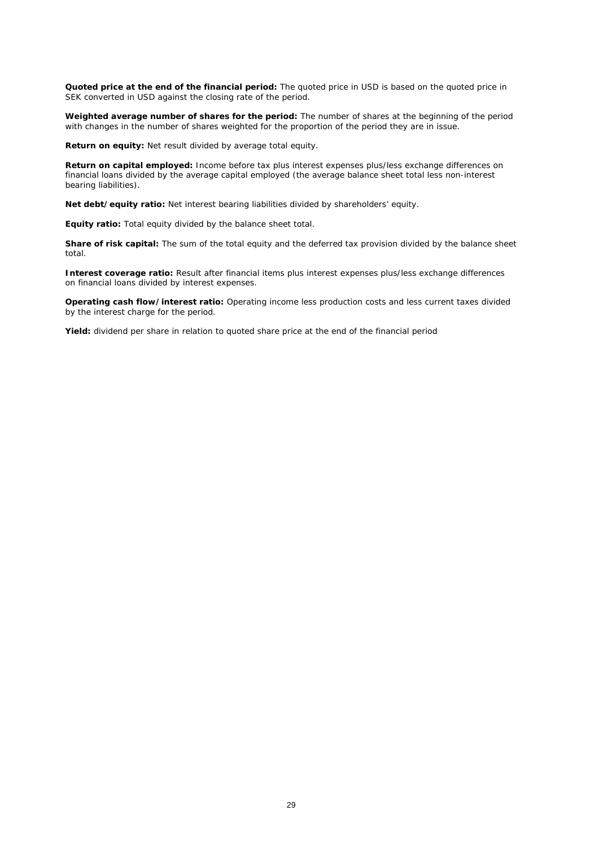**Quoted price at the end of the financial period:** The quoted price in USD is based on the quoted price in SEK converted in USD against the closing rate of the period.

**Weighted average number of shares for the period:** The number of shares at the beginning of the period with changes in the number of shares weighted for the proportion of the period they are in issue.

**Return on equity:** Net result divided by average total equity.

**Return on capital employed:** Income before tax plus interest expenses plus/less exchange differences on financial loans divided by the average capital employed (the average balance sheet total less non-interest bearing liabilities).

**Net debt/equity ratio:** Net interest bearing liabilities divided by shareholders' equity.

**Equity ratio:** Total equity divided by the balance sheet total.

**Share of risk capital:** The sum of the total equity and the deferred tax provision divided by the balance sheet total.

**Interest coverage ratio:** Result after financial items plus interest expenses plus/less exchange differences on financial loans divided by interest expenses.

**Operating cash flow/interest ratio:** Operating income less production costs and less current taxes divided by the interest charge for the period.

**Yield:** dividend per share in relation to quoted share price at the end of the financial period